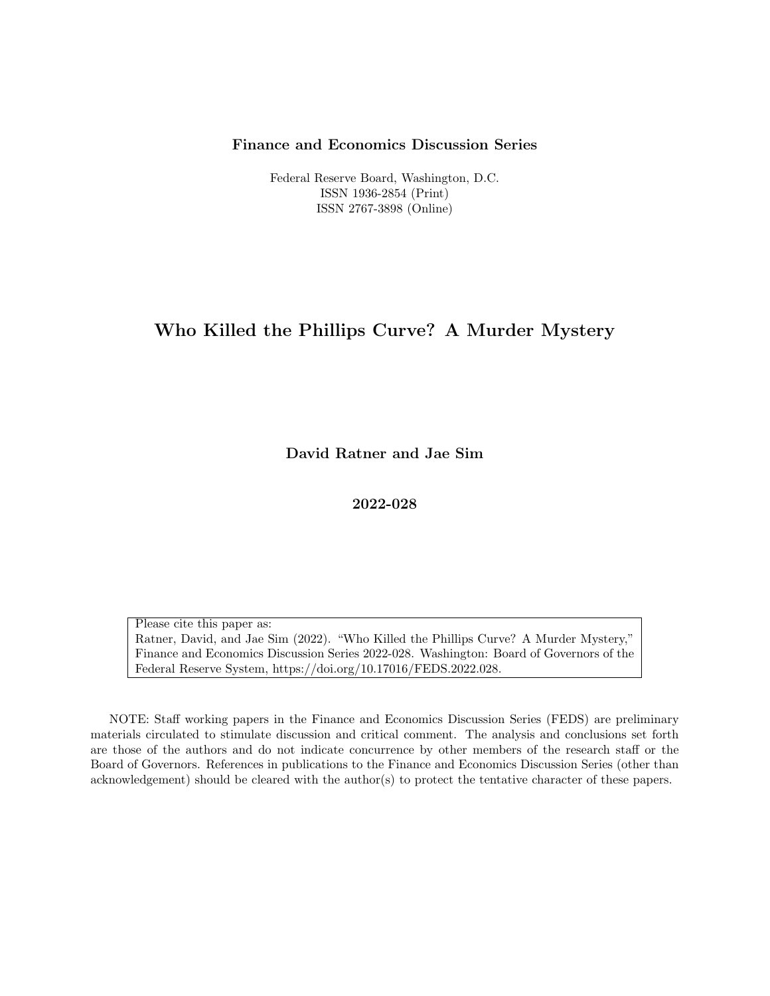### Finance and Economics Discussion Series

Federal Reserve Board, Washington, D.C. ISSN 1936-2854 (Print) ISSN 2767-3898 (Online)

# Who Killed the Phillips Curve? A Murder Mystery

David Ratner and Jae Sim

2022-028

Please cite this paper as: Ratner, David, and Jae Sim (2022). "Who Killed the Phillips Curve? A Murder Mystery," Finance and Economics Discussion Series 2022-028. Washington: Board of Governors of the Federal Reserve System, https://doi.org/10.17016/FEDS.2022.028.

NOTE: Staff working papers in the Finance and Economics Discussion Series (FEDS) are preliminary materials circulated to stimulate discussion and critical comment. The analysis and conclusions set forth are those of the authors and do not indicate concurrence by other members of the research staff or the Board of Governors. References in publications to the Finance and Economics Discussion Series (other than acknowledgement) should be cleared with the author(s) to protect the tentative character of these papers.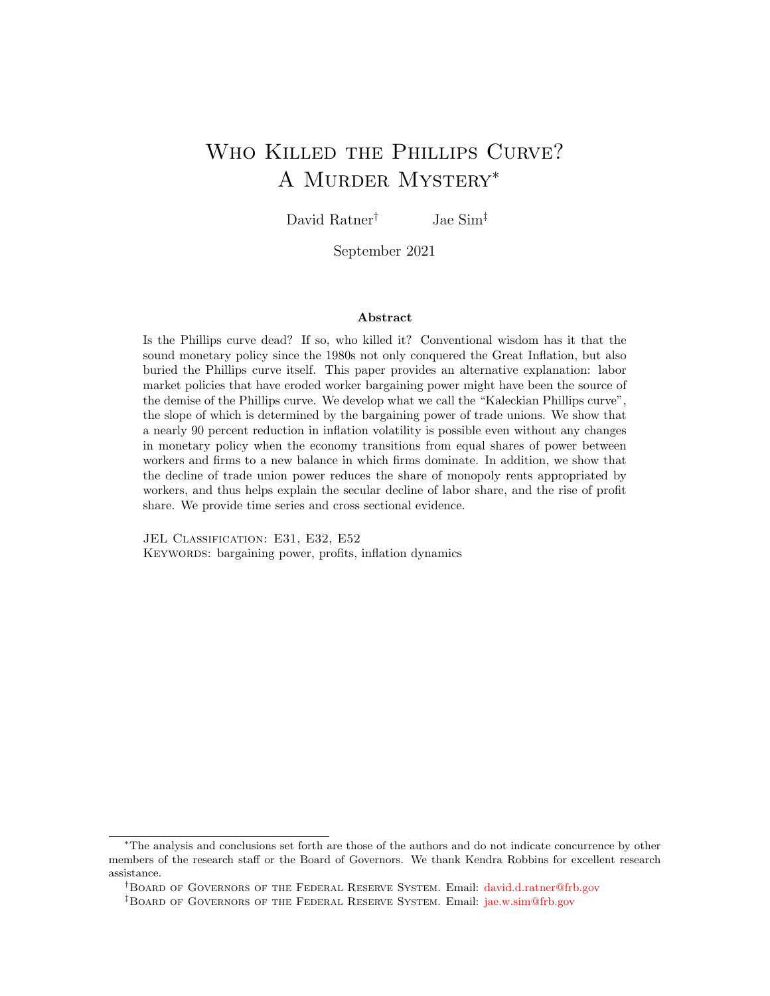# <span id="page-1-0"></span>WHO KILLED THE PHILLIPS CURVE? A Murder Mystery<sup>∗</sup>

David Ratner<sup>†</sup> Jae Sim<sup>‡</sup>

September 2021

#### Abstract

Is the Phillips curve dead? If so, who killed it? Conventional wisdom has it that the sound monetary policy since the 1980s not only conquered the Great Inflation, but also buried the Phillips curve itself. This paper provides an alternative explanation: labor market policies that have eroded worker bargaining power might have been the source of the demise of the Phillips curve. We develop what we call the "Kaleckian Phillips curve", the slope of which is determined by the bargaining power of trade unions. We show that a nearly 90 percent reduction in inflation volatility is possible even without any changes in monetary policy when the economy transitions from equal shares of power between workers and firms to a new balance in which firms dominate. In addition, we show that the decline of trade union power reduces the share of monopoly rents appropriated by workers, and thus helps explain the secular decline of labor share, and the rise of profit share. We provide time series and cross sectional evidence.

JEL CLASSIFICATION: E31, E32, E52 KEYWORDS: bargaining power, profits, inflation dynamics

<sup>∗</sup>The analysis and conclusions set forth are those of the authors and do not indicate concurrence by other members of the research staff or the Board of Governors. We thank Kendra Robbins for excellent research assistance.

<sup>†</sup>Board of Governors of the Federal Reserve System. Email: [david.d.ratner@frb.gov](mailto:Jae_Sim)

<sup>‡</sup>Board of Governors of the Federal Reserve System. Email: [jae.w.sim@frb.gov](mailto:Jae_Sim)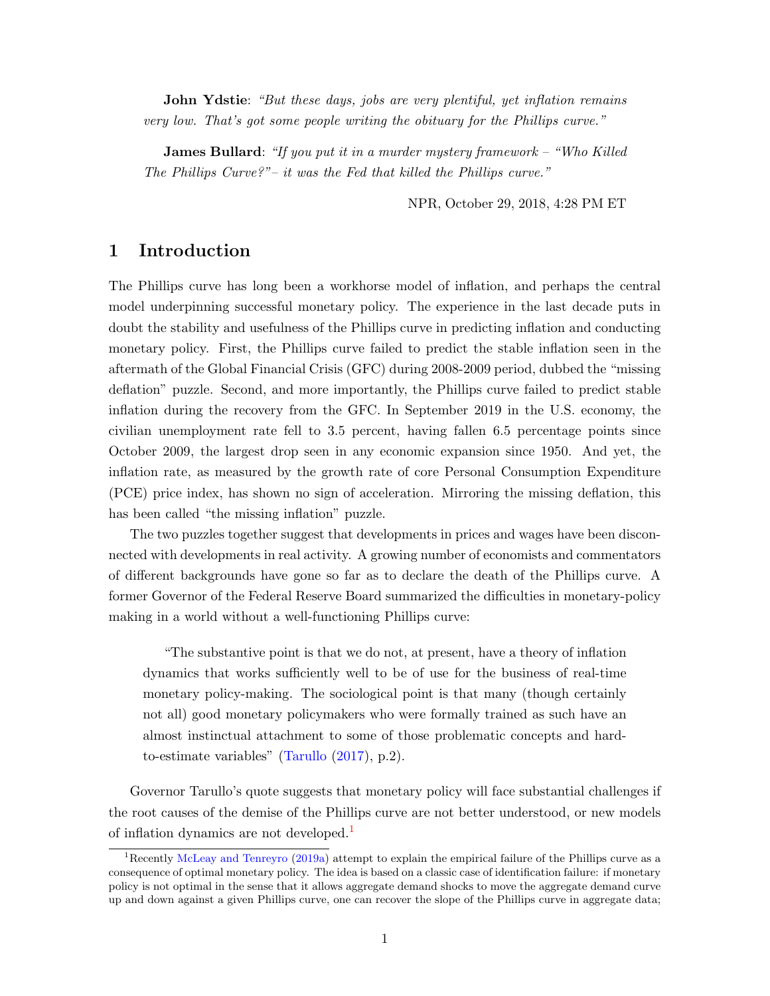John Ydstie: "But these days, jobs are very plentiful, yet inflation remains very low. That's got some people writing the obituary for the Phillips curve."

James Bullard: "If you put it in a murder mystery framework – "Who Killed" The Phillips Curve?"– it was the Fed that killed the Phillips curve."

NPR, October 29, 2018, 4:28 PM ET

### 1 Introduction

The Phillips curve has long been a workhorse model of inflation, and perhaps the central model underpinning successful monetary policy. The experience in the last decade puts in doubt the stability and usefulness of the Phillips curve in predicting inflation and conducting monetary policy. First, the Phillips curve failed to predict the stable inflation seen in the aftermath of the Global Financial Crisis (GFC) during 2008-2009 period, dubbed the "missing deflation" puzzle. Second, and more importantly, the Phillips curve failed to predict stable inflation during the recovery from the GFC. In September 2019 in the U.S. economy, the civilian unemployment rate fell to 3.5 percent, having fallen 6.5 percentage points since October 2009, the largest drop seen in any economic expansion since 1950. And yet, the inflation rate, as measured by the growth rate of core Personal Consumption Expenditure (PCE) price index, has shown no sign of acceleration. Mirroring the missing deflation, this has been called "the missing inflation" puzzle.

The two puzzles together suggest that developments in prices and wages have been disconnected with developments in real activity. A growing number of economists and commentators of different backgrounds have gone so far as to declare the death of the Phillips curve. A former Governor of the Federal Reserve Board summarized the difficulties in monetary-policy making in a world without a well-functioning Phillips curve:

"The substantive point is that we do not, at present, have a theory of inflation dynamics that works sufficiently well to be of use for the business of real-time monetary policy-making. The sociological point is that many (though certainly not all) good monetary policymakers who were formally trained as such have an almost instinctual attachment to some of those problematic concepts and hardto-estimate variables" [\(Tarullo](#page-35-0) [\(2017\)](#page-35-0), p.2).

Governor Tarullo's quote suggests that monetary policy will face substantial challenges if the root causes of the demise of the Phillips curve are not better understood, or new models of inflation dynamics are not developed.<sup>[1](#page-1-0)</sup>

<sup>&</sup>lt;sup>1</sup>Recently [McLeay and Tenreyro](#page-35-1) [\(2019a\)](#page-35-1) attempt to explain the empirical failure of the Phillips curve as a consequence of optimal monetary policy. The idea is based on a classic case of identification failure: if monetary policy is not optimal in the sense that it allows aggregate demand shocks to move the aggregate demand curve up and down against a given Phillips curve, one can recover the slope of the Phillips curve in aggregate data;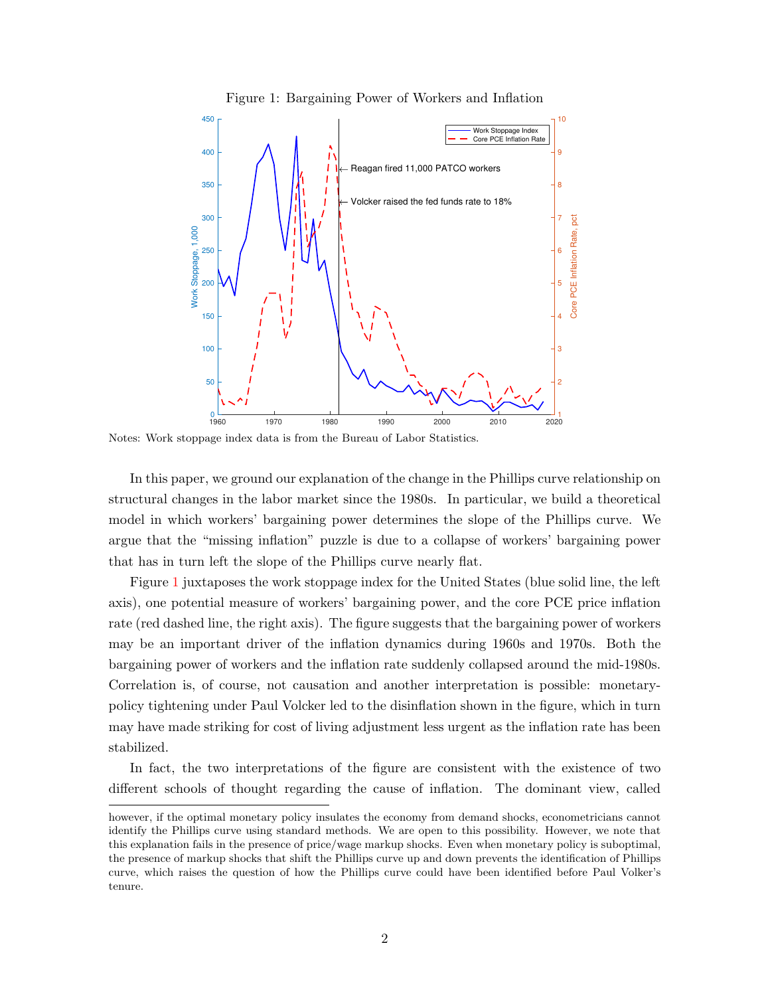Figure 1: Bargaining Power of Workers and Inflation

<span id="page-3-0"></span>

Notes: Work stoppage index data is from the Bureau of Labor Statistics.

In this paper, we ground our explanation of the change in the Phillips curve relationship on structural changes in the labor market since the 1980s. In particular, we build a theoretical model in which workers' bargaining power determines the slope of the Phillips curve. We argue that the "missing inflation" puzzle is due to a collapse of workers' bargaining power that has in turn left the slope of the Phillips curve nearly flat.

Figure [1](#page-3-0) juxtaposes the work stoppage index for the United States (blue solid line, the left axis), one potential measure of workers' bargaining power, and the core PCE price inflation rate (red dashed line, the right axis). The figure suggests that the bargaining power of workers may be an important driver of the inflation dynamics during 1960s and 1970s. Both the bargaining power of workers and the inflation rate suddenly collapsed around the mid-1980s. Correlation is, of course, not causation and another interpretation is possible: monetarypolicy tightening under Paul Volcker led to the disinflation shown in the figure, which in turn may have made striking for cost of living adjustment less urgent as the inflation rate has been stabilized.

In fact, the two interpretations of the figure are consistent with the existence of two different schools of thought regarding the cause of inflation. The dominant view, called

however, if the optimal monetary policy insulates the economy from demand shocks, econometricians cannot identify the Phillips curve using standard methods. We are open to this possibility. However, we note that this explanation fails in the presence of price/wage markup shocks. Even when monetary policy is suboptimal, the presence of markup shocks that shift the Phillips curve up and down prevents the identification of Phillips curve, which raises the question of how the Phillips curve could have been identified before Paul Volker's tenure.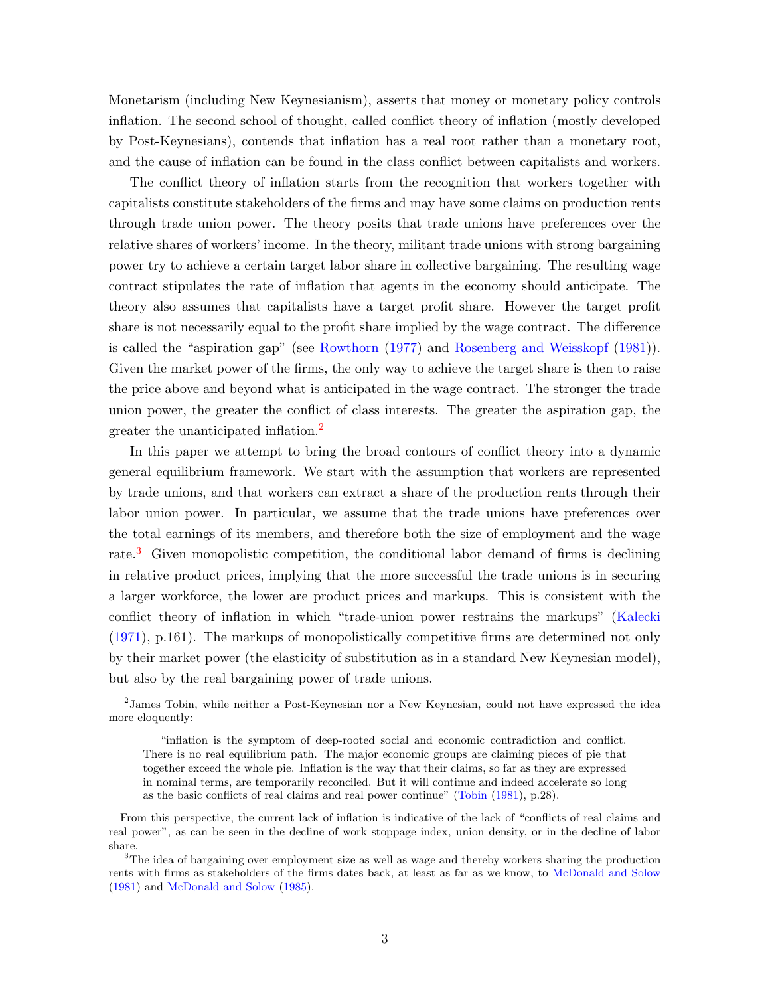Monetarism (including New Keynesianism), asserts that money or monetary policy controls inflation. The second school of thought, called conflict theory of inflation (mostly developed by Post-Keynesians), contends that inflation has a real root rather than a monetary root, and the cause of inflation can be found in the class conflict between capitalists and workers.

The conflict theory of inflation starts from the recognition that workers together with capitalists constitute stakeholders of the firms and may have some claims on production rents through trade union power. The theory posits that trade unions have preferences over the relative shares of workers' income. In the theory, militant trade unions with strong bargaining power try to achieve a certain target labor share in collective bargaining. The resulting wage contract stipulates the rate of inflation that agents in the economy should anticipate. The theory also assumes that capitalists have a target profit share. However the target profit share is not necessarily equal to the profit share implied by the wage contract. The difference is called the "aspiration gap" (see [Rowthorn](#page-35-2) [\(1977\)](#page-35-2) and [Rosenberg and Weisskopf](#page-35-3) [\(1981\)](#page-35-3)). Given the market power of the firms, the only way to achieve the target share is then to raise the price above and beyond what is anticipated in the wage contract. The stronger the trade union power, the greater the conflict of class interests. The greater the aspiration gap, the greater the unanticipated inflation.[2](#page-1-0)

In this paper we attempt to bring the broad contours of conflict theory into a dynamic general equilibrium framework. We start with the assumption that workers are represented by trade unions, and that workers can extract a share of the production rents through their labor union power. In particular, we assume that the trade unions have preferences over the total earnings of its members, and therefore both the size of employment and the wage rate.<sup>[3](#page-1-0)</sup> Given monopolistic competition, the conditional labor demand of firms is declining in relative product prices, implying that the more successful the trade unions is in securing a larger workforce, the lower are product prices and markups. This is consistent with the conflict theory of inflation in which "trade-union power restrains the markups" [\(Kalecki](#page-34-0) [\(1971\)](#page-34-0), p.161). The markups of monopolistically competitive firms are determined not only by their market power (the elasticity of substitution as in a standard New Keynesian model), but also by the real bargaining power of trade unions.

<sup>&</sup>lt;sup>2</sup> James Tobin, while neither a Post-Keynesian nor a New Keynesian, could not have expressed the idea more eloquently:

<sup>&</sup>quot;inflation is the symptom of deep-rooted social and economic contradiction and conflict. There is no real equilibrium path. The major economic groups are claiming pieces of pie that together exceed the whole pie. Inflation is the way that their claims, so far as they are expressed in nominal terms, are temporarily reconciled. But it will continue and indeed accelerate so long as the basic conflicts of real claims and real power continue" [\(Tobin](#page-35-4) [\(1981\)](#page-35-4), p.28).

From this perspective, the current lack of inflation is indicative of the lack of "conflicts of real claims and real power", as can be seen in the decline of work stoppage index, union density, or in the decline of labor share.

<sup>&</sup>lt;sup>3</sup>The idea of bargaining over employment size as well as wage and thereby workers sharing the production rents with firms as stakeholders of the firms dates back, at least as far as we know, to [McDonald and Solow](#page-34-1) [\(1981\)](#page-34-1) and [McDonald and Solow](#page-35-5) [\(1985\)](#page-35-5).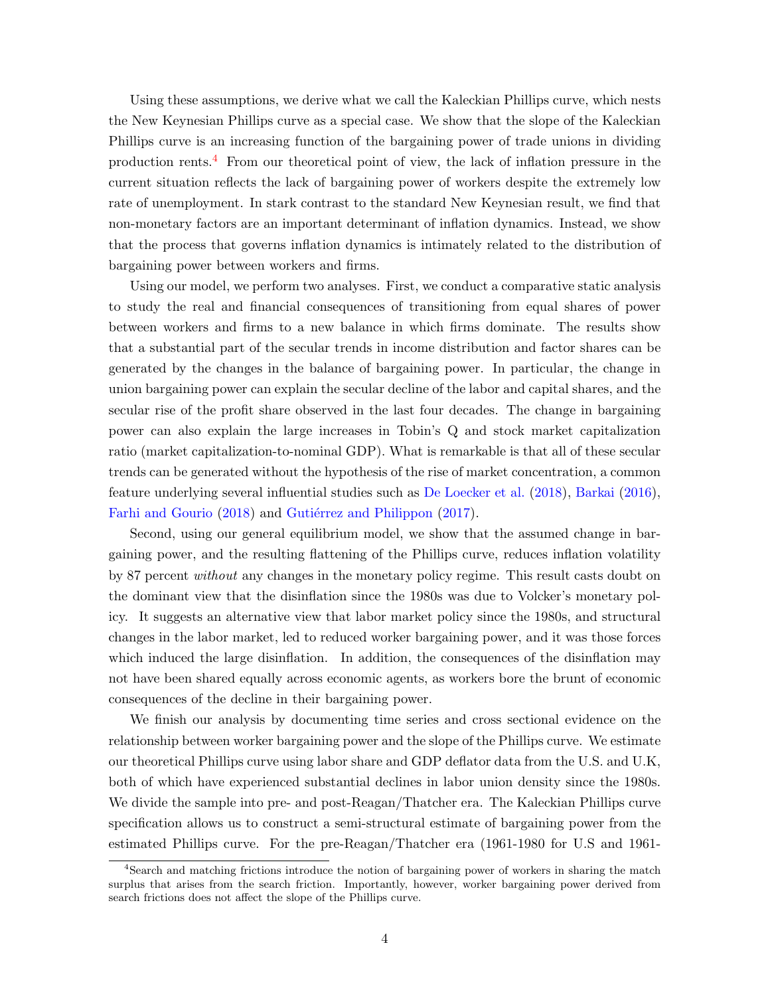Using these assumptions, we derive what we call the Kaleckian Phillips curve, which nests the New Keynesian Phillips curve as a special case. We show that the slope of the Kaleckian Phillips curve is an increasing function of the bargaining power of trade unions in dividing production rents.[4](#page-1-0) From our theoretical point of view, the lack of inflation pressure in the current situation reflects the lack of bargaining power of workers despite the extremely low rate of unemployment. In stark contrast to the standard New Keynesian result, we find that non-monetary factors are an important determinant of inflation dynamics. Instead, we show that the process that governs inflation dynamics is intimately related to the distribution of bargaining power between workers and firms.

Using our model, we perform two analyses. First, we conduct a comparative static analysis to study the real and financial consequences of transitioning from equal shares of power between workers and firms to a new balance in which firms dominate. The results show that a substantial part of the secular trends in income distribution and factor shares can be generated by the changes in the balance of bargaining power. In particular, the change in union bargaining power can explain the secular decline of the labor and capital shares, and the secular rise of the profit share observed in the last four decades. The change in bargaining power can also explain the large increases in Tobin's Q and stock market capitalization ratio (market capitalization-to-nominal GDP). What is remarkable is that all of these secular trends can be generated without the hypothesis of the rise of market concentration, a common feature underlying several influential studies such as [De Loecker et al.](#page-34-2) [\(2018\)](#page-34-2), [Barkai](#page-33-0) [\(2016\)](#page-33-0), [Farhi and Gourio](#page-33-1) [\(2018\)](#page-33-1) and Gutiérrez and Philippon [\(2017\)](#page-34-3).

Second, using our general equilibrium model, we show that the assumed change in bargaining power, and the resulting flattening of the Phillips curve, reduces inflation volatility by 87 percent without any changes in the monetary policy regime. This result casts doubt on the dominant view that the disinflation since the 1980s was due to Volcker's monetary policy. It suggests an alternative view that labor market policy since the 1980s, and structural changes in the labor market, led to reduced worker bargaining power, and it was those forces which induced the large disinflation. In addition, the consequences of the disinflation may not have been shared equally across economic agents, as workers bore the brunt of economic consequences of the decline in their bargaining power.

We finish our analysis by documenting time series and cross sectional evidence on the relationship between worker bargaining power and the slope of the Phillips curve. We estimate our theoretical Phillips curve using labor share and GDP deflator data from the U.S. and U.K, both of which have experienced substantial declines in labor union density since the 1980s. We divide the sample into pre- and post-Reagan/Thatcher era. The Kaleckian Phillips curve specification allows us to construct a semi-structural estimate of bargaining power from the estimated Phillips curve. For the pre-Reagan/Thatcher era (1961-1980 for U.S and 1961-

<sup>4</sup>Search and matching frictions introduce the notion of bargaining power of workers in sharing the match surplus that arises from the search friction. Importantly, however, worker bargaining power derived from search frictions does not affect the slope of the Phillips curve.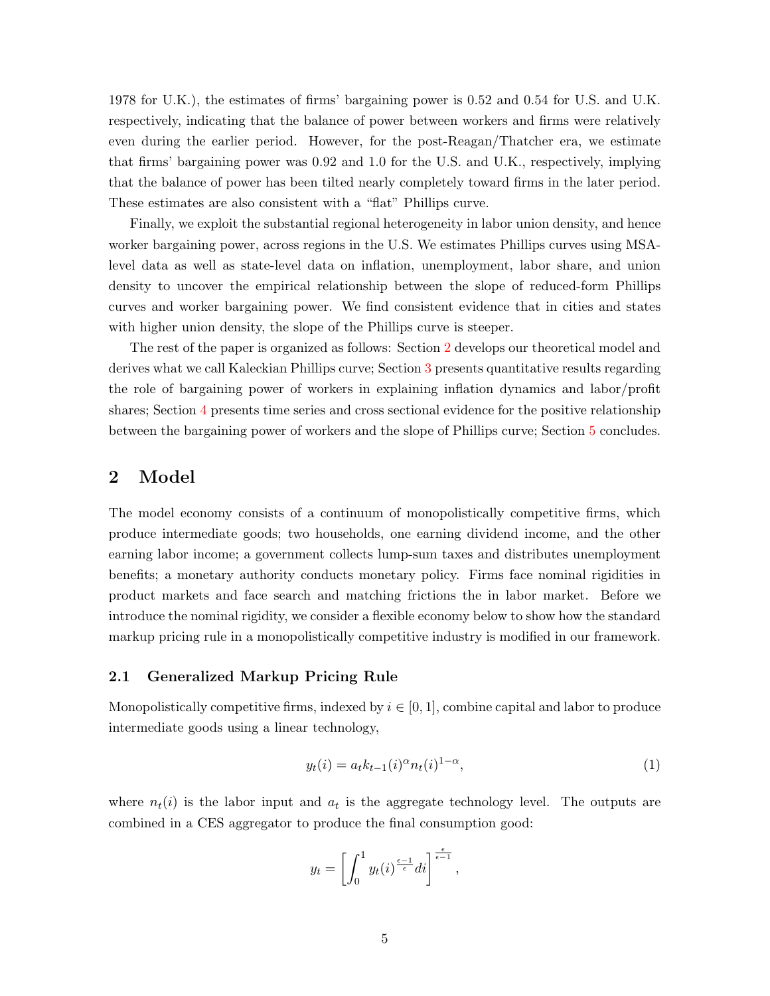1978 for U.K.), the estimates of firms' bargaining power is 0.52 and 0.54 for U.S. and U.K. respectively, indicating that the balance of power between workers and firms were relatively even during the earlier period. However, for the post-Reagan/Thatcher era, we estimate that firms' bargaining power was 0.92 and 1.0 for the U.S. and U.K., respectively, implying that the balance of power has been tilted nearly completely toward firms in the later period. These estimates are also consistent with a "flat" Phillips curve.

Finally, we exploit the substantial regional heterogeneity in labor union density, and hence worker bargaining power, across regions in the U.S. We estimates Phillips curves using MSAlevel data as well as state-level data on inflation, unemployment, labor share, and union density to uncover the empirical relationship between the slope of reduced-form Phillips curves and worker bargaining power. We find consistent evidence that in cities and states with higher union density, the slope of the Phillips curve is steeper.

The rest of the paper is organized as follows: Section [2](#page-6-0) develops our theoretical model and derives what we call Kaleckian Phillips curve; Section [3](#page-16-0) presents quantitative results regarding the role of bargaining power of workers in explaining inflation dynamics and labor/profit shares; Section [4](#page-24-0) presents time series and cross sectional evidence for the positive relationship between the bargaining power of workers and the slope of Phillips curve; Section [5](#page-33-2) concludes.

### <span id="page-6-0"></span>2 Model

The model economy consists of a continuum of monopolistically competitive firms, which produce intermediate goods; two households, one earning dividend income, and the other earning labor income; a government collects lump-sum taxes and distributes unemployment benefits; a monetary authority conducts monetary policy. Firms face nominal rigidities in product markets and face search and matching frictions the in labor market. Before we introduce the nominal rigidity, we consider a flexible economy below to show how the standard markup pricing rule in a monopolistically competitive industry is modified in our framework.

### 2.1 Generalized Markup Pricing Rule

Monopolistically competitive firms, indexed by  $i \in [0, 1]$ , combine capital and labor to produce intermediate goods using a linear technology,

$$
y_t(i) = a_t k_{t-1}(i)^{\alpha} n_t(i)^{1-\alpha}, \tag{1}
$$

where  $n_t(i)$  is the labor input and  $a_t$  is the aggregate technology level. The outputs are combined in a CES aggregator to produce the final consumption good:

$$
y_t = \left[ \int_0^1 y_t(i)^{\frac{\epsilon - 1}{\epsilon}} di \right]^{\frac{\epsilon}{\epsilon - 1}},
$$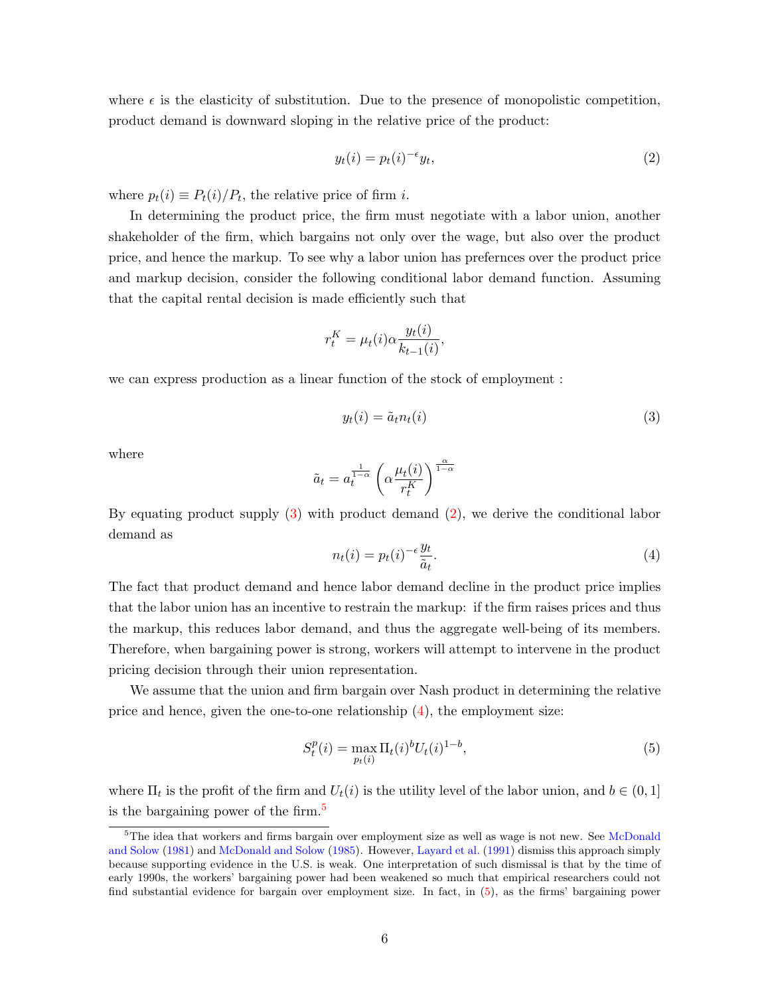where  $\epsilon$  is the elasticity of substitution. Due to the presence of monopolistic competition, product demand is downward sloping in the relative price of the product:

<span id="page-7-1"></span>
$$
y_t(i) = p_t(i)^{-\epsilon} y_t,\tag{2}
$$

where  $p_t(i) \equiv P_t(i)/P_t$ , the relative price of firm *i*.

In determining the product price, the firm must negotiate with a labor union, another shakeholder of the firm, which bargains not only over the wage, but also over the product price, and hence the markup. To see why a labor union has prefernces over the product price and markup decision, consider the following conditional labor demand function. Assuming that the capital rental decision is made efficiently such that

$$
r_t^K = \mu_t(i)\alpha \frac{y_t(i)}{k_{t-1}(i)},
$$

we can express production as a linear function of the stock of employment :

<span id="page-7-0"></span>
$$
y_t(i) = \tilde{a}_t n_t(i) \tag{3}
$$

where

$$
\tilde{a}_t = a_t^{\frac{1}{1-\alpha}}\left(\alpha \frac{\mu_t(i)}{r_t^K}\right)^{\frac{\alpha}{1-\alpha}}
$$

<span id="page-7-2"></span>By equating product supply  $(3)$  with product demand  $(2)$ , we derive the conditional labor demand as

$$
n_t(i) = p_t(i)^{-\epsilon} \frac{y_t}{\tilde{a}_t}.
$$
\n<sup>(4)</sup>

The fact that product demand and hence labor demand decline in the product price implies that the labor union has an incentive to restrain the markup: if the firm raises prices and thus the markup, this reduces labor demand, and thus the aggregate well-being of its members. Therefore, when bargaining power is strong, workers will attempt to intervene in the product pricing decision through their union representation.

We assume that the union and firm bargain over Nash product in determining the relative price and hence, given the one-to-one relationship  $(4)$ , the employment size:

<span id="page-7-3"></span>
$$
S_t^p(i) = \max_{p_t(i)} \Pi_t(i)^b U_t(i)^{1-b},\tag{5}
$$

where  $\Pi_t$  is the profit of the firm and  $U_t(i)$  is the utility level of the labor union, and  $b \in (0,1]$ is the bargaining power of the firm.[5](#page-1-0)

<sup>&</sup>lt;sup>5</sup>The idea that workers and firms bargain over employment size as well as wage is not new. See [McDonald](#page-34-1) [and Solow](#page-34-1) [\(1981\)](#page-34-1) and [McDonald and Solow](#page-35-5) [\(1985\)](#page-35-5). However, [Layard et al.](#page-34-4) [\(1991\)](#page-34-4) dismiss this approach simply because supporting evidence in the U.S. is weak. One interpretation of such dismissal is that by the time of early 1990s, the workers' bargaining power had been weakened so much that empirical researchers could not find substantial evidence for bargain over employment size. In fact, in [\(5\)](#page-7-3), as the firms' bargaining power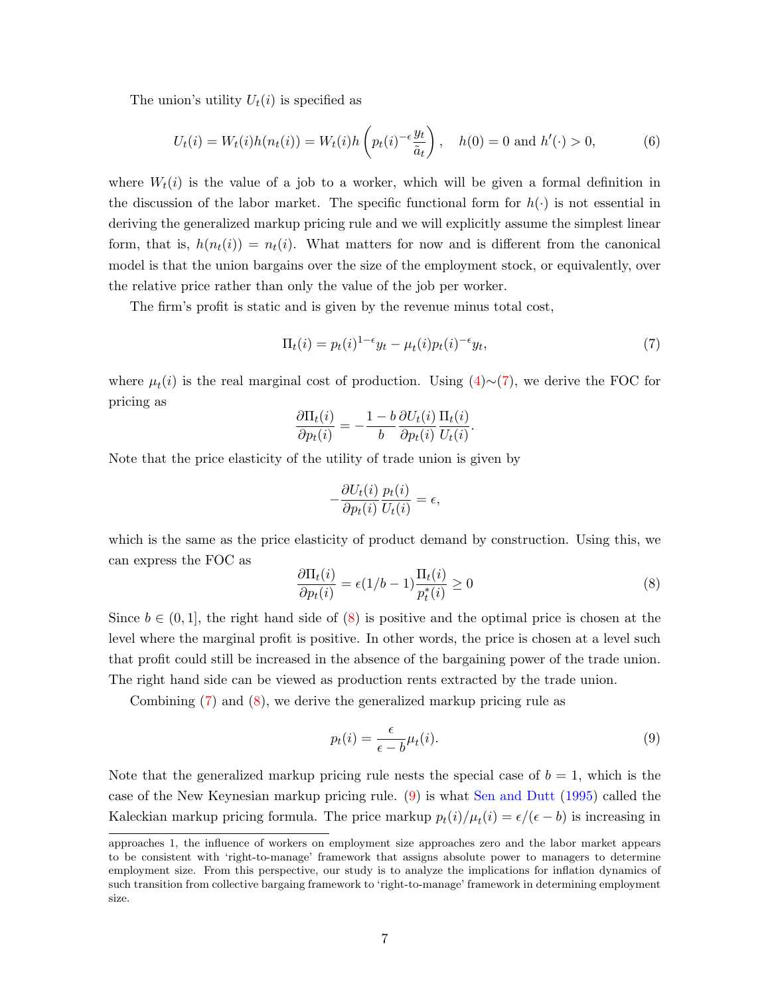The union's utility  $U_t(i)$  is specified as

<span id="page-8-3"></span>
$$
U_t(i) = W_t(i)h(n_t(i)) = W_t(i)h\left(p_t(i)^{-\epsilon}\frac{y_t}{\tilde{a}_t}\right), \quad h(0) = 0 \text{ and } h'(\cdot) > 0,
$$
 (6)

where  $W_t(i)$  is the value of a job to a worker, which will be given a formal definition in the discussion of the labor market. The specific functional form for  $h(\cdot)$  is not essential in deriving the generalized markup pricing rule and we will explicitly assume the simplest linear form, that is,  $h(n_t(i)) = n_t(i)$ . What matters for now and is different from the canonical model is that the union bargains over the size of the employment stock, or equivalently, over the relative price rather than only the value of the job per worker.

The firm's profit is static and is given by the revenue minus total cost,

<span id="page-8-0"></span>
$$
\Pi_t(i) = p_t(i)^{1-\epsilon} y_t - \mu_t(i) p_t(i)^{-\epsilon} y_t,\tag{7}
$$

where  $\mu_t(i)$  is the real marginal cost of production. Using  $(4) \sim (7)$  $(4) \sim (7)$  $(4) \sim (7)$ , we derive the FOC for pricing as

$$
\frac{\partial \Pi_t(i)}{\partial p_t(i)} = -\frac{1-b}{b} \frac{\partial U_t(i)}{\partial p_t(i)} \frac{\Pi_t(i)}{U_t(i)}.
$$

Note that the price elasticity of the utility of trade union is given by

$$
-\frac{\partial U_t(i)}{\partial p_t(i)} \frac{p_t(i)}{U_t(i)} = \epsilon,
$$

which is the same as the price elasticity of product demand by construction. Using this, we can express the FOC as

<span id="page-8-1"></span>
$$
\frac{\partial \Pi_t(i)}{\partial p_t(i)} = \epsilon (1/b - 1) \frac{\Pi_t(i)}{p_t^*(i)} \ge 0
$$
\n(8)

Since  $b \in (0,1]$ , the right hand side of [\(8\)](#page-8-1) is positive and the optimal price is chosen at the level where the marginal profit is positive. In other words, the price is chosen at a level such that profit could still be increased in the absence of the bargaining power of the trade union. The right hand side can be viewed as production rents extracted by the trade union.

Combining [\(7\)](#page-8-0) and [\(8\)](#page-8-1), we derive the generalized markup pricing rule as

<span id="page-8-2"></span>
$$
p_t(i) = \frac{\epsilon}{\epsilon - b} \mu_t(i). \tag{9}
$$

Note that the generalized markup pricing rule nests the special case of  $b = 1$ , which is the case of the New Keynesian markup pricing rule. [\(9\)](#page-8-2) is what [Sen and Dutt](#page-35-6) [\(1995\)](#page-35-6) called the Kaleckian markup pricing formula. The price markup  $p_t(i)/\mu_t(i) = \epsilon/(\epsilon - b)$  is increasing in

approaches 1, the influence of workers on employment size approaches zero and the labor market appears to be consistent with 'right-to-manage' framework that assigns absolute power to managers to determine employment size. From this perspective, our study is to analyze the implications for inflation dynamics of such transition from collective bargaing framework to 'right-to-manage' framework in determining employment size.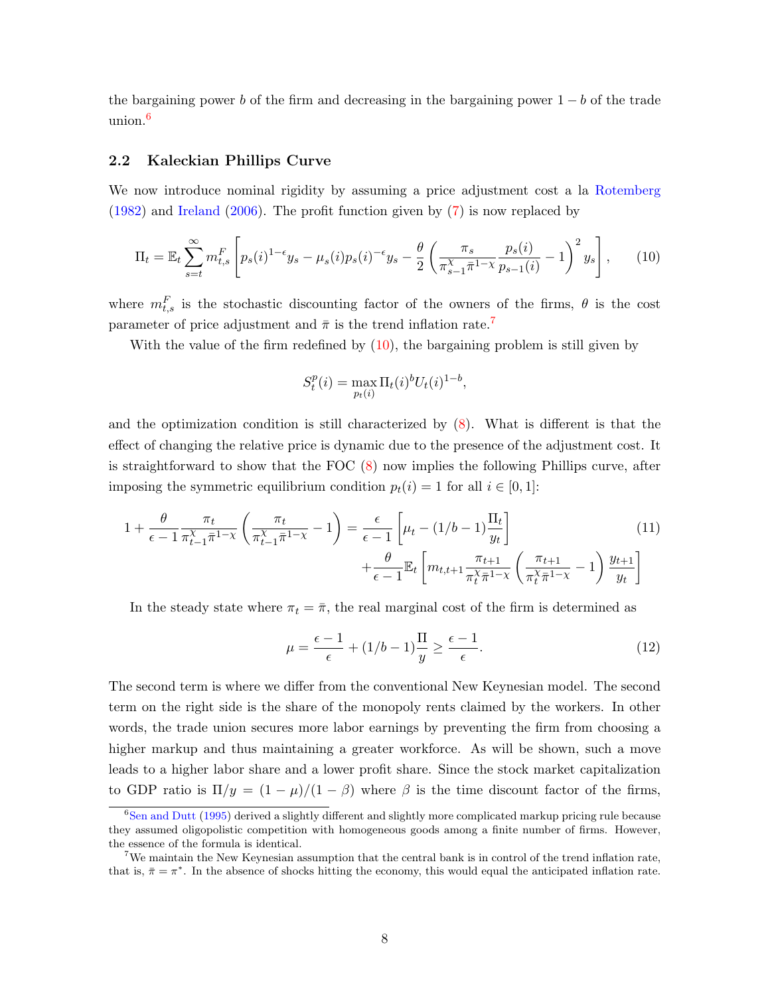the bargaining power b of the firm and decreasing in the bargaining power  $1 - b$  of the trade union.[6](#page-1-0)

### 2.2 Kaleckian Phillips Curve

We now introduce nominal rigidity by assuming a price adjustment cost a la [Rotemberg](#page-35-7) [\(1982\)](#page-35-7) and [Ireland](#page-34-5) [\(2006\)](#page-34-5). The profit function given by [\(7\)](#page-8-0) is now replaced by

$$
\Pi_t = \mathbb{E}_t \sum_{s=t}^{\infty} m_{t,s}^F \left[ p_s(i)^{1-\epsilon} y_s - \mu_s(i) p_s(i)^{-\epsilon} y_s - \frac{\theta}{2} \left( \frac{\pi_s}{\pi_{s-1}^{\chi} \bar{\pi}^{1-\chi}} \frac{p_s(i)}{p_{s-1}(i)} - 1 \right)^2 y_s \right],
$$
 (10)

where  $m_{t,s}^F$  is the stochastic discounting factor of the owners of the firms,  $\theta$  is the cost parameter of price adjustment and  $\bar{\pi}$  is the trend inflation rate.<sup>[7](#page-1-0)</sup>

With the value of the firm redefined by  $(10)$ , the bargaining problem is still given by

<span id="page-9-2"></span><span id="page-9-0"></span>
$$
S_t^p(i) = \max_{p_t(i)} \Pi_t(i)^b U_t(i)^{1-b},
$$

and the optimization condition is still characterized by [\(8\)](#page-8-1). What is different is that the effect of changing the relative price is dynamic due to the presence of the adjustment cost. It is straightforward to show that the FOC [\(8\)](#page-8-1) now implies the following Phillips curve, after imposing the symmetric equilibrium condition  $p_t(i) = 1$  for all  $i \in [0, 1]$ :

$$
1 + \frac{\theta}{\epsilon - 1} \frac{\pi_t}{\pi_{t-1}^X \bar{\pi}^{1-\chi}} \left( \frac{\pi_t}{\pi_{t-1}^X \bar{\pi}^{1-\chi}} - 1 \right) = \frac{\epsilon}{\epsilon - 1} \left[ \mu_t - (1/b - 1) \frac{\Pi_t}{y_t} \right] + \frac{\theta}{\epsilon - 1} \mathbb{E}_t \left[ m_{t,t+1} \frac{\pi_{t+1}}{\pi_t^X \bar{\pi}^{1-\chi}} \left( \frac{\pi_{t+1}}{\pi_t^X \bar{\pi}^{1-\chi}} - 1 \right) \frac{y_{t+1}}{y_t} \right]
$$
(11)

In the steady state where  $\pi_t = \overline{\pi}$ , the real marginal cost of the firm is determined as

<span id="page-9-1"></span>
$$
\mu = \frac{\epsilon - 1}{\epsilon} + (1/b - 1)\frac{\Pi}{y} \ge \frac{\epsilon - 1}{\epsilon}.
$$
\n(12)

The second term is where we differ from the conventional New Keynesian model. The second term on the right side is the share of the monopoly rents claimed by the workers. In other words, the trade union secures more labor earnings by preventing the firm from choosing a higher markup and thus maintaining a greater workforce. As will be shown, such a move leads to a higher labor share and a lower profit share. Since the stock market capitalization to GDP ratio is  $\Pi/y = (1 - \mu)/(1 - \beta)$  where  $\beta$  is the time discount factor of the firms,

<sup>&</sup>lt;sup>6</sup>[Sen and Dutt](#page-35-6) [\(1995\)](#page-35-6) derived a slightly different and slightly more complicated markup pricing rule because they assumed oligopolistic competition with homogeneous goods among a finite number of firms. However, the essence of the formula is identical.

<sup>&</sup>lt;sup>7</sup>We maintain the New Keynesian assumption that the central bank is in control of the trend inflation rate, that is,  $\bar{\pi} = \pi^*$ . In the absence of shocks hitting the economy, this would equal the anticipated inflation rate.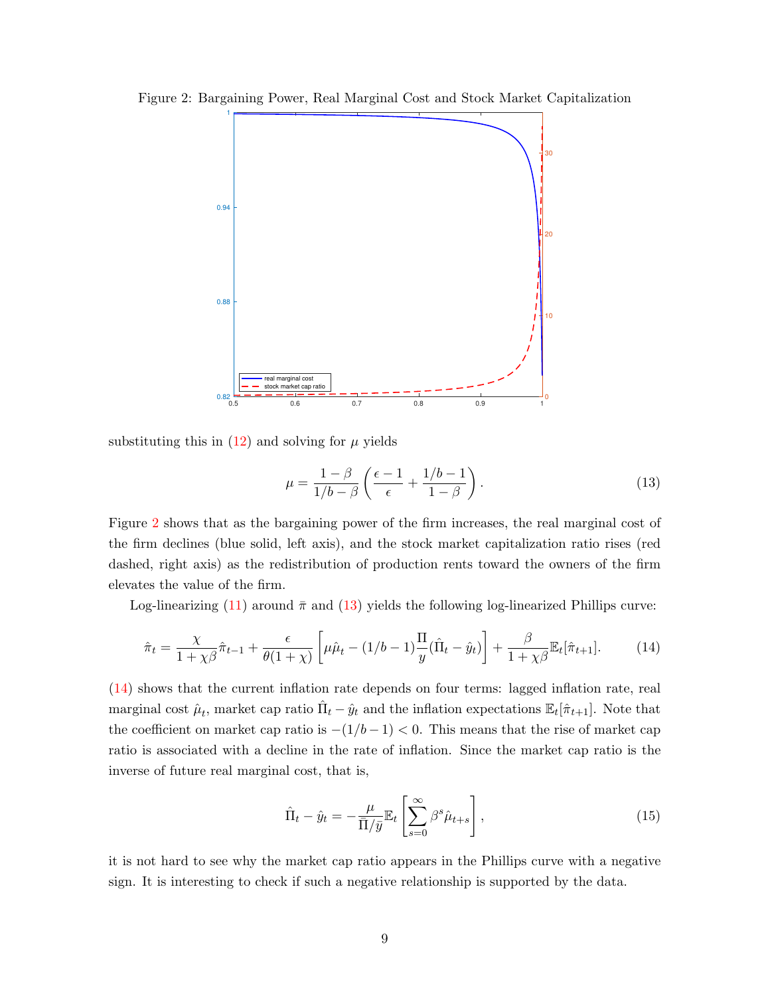

<span id="page-10-0"></span>Figure 2: Bargaining Power, Real Marginal Cost and Stock Market Capitalization

substituting this in  $(12)$  and solving for  $\mu$  yields

<span id="page-10-2"></span><span id="page-10-1"></span>
$$
\mu = \frac{1 - \beta}{1/b - \beta} \left( \frac{\epsilon - 1}{\epsilon} + \frac{1/b - 1}{1 - \beta} \right). \tag{13}
$$

Figure [2](#page-10-0) shows that as the bargaining power of the firm increases, the real marginal cost of the firm declines (blue solid, left axis), and the stock market capitalization ratio rises (red dashed, right axis) as the redistribution of production rents toward the owners of the firm elevates the value of the firm.

Log-linearizing [\(11\)](#page-9-2) around  $\bar{\pi}$  and [\(13\)](#page-10-1) yields the following log-linearized Phillips curve:

$$
\hat{\pi}_t = \frac{\chi}{1 + \chi\beta}\hat{\pi}_{t-1} + \frac{\epsilon}{\theta(1 + \chi)}\left[\mu\hat{\mu}_t - (1/b - 1)\frac{\Pi}{y}(\hat{\Pi}_t - \hat{y}_t)\right] + \frac{\beta}{1 + \chi\beta}\mathbb{E}_t[\hat{\pi}_{t+1}].\tag{14}
$$

[\(14\)](#page-10-2) shows that the current inflation rate depends on four terms: lagged inflation rate, real marginal cost  $\hat{\mu}_t$ , market cap ratio  $\hat{\Pi}_t - \hat{y}_t$  and the inflation expectations  $\mathbb{E}_t[\hat{\pi}_{t+1}]$ . Note that the coefficient on market cap ratio is  $-(1/b-1) < 0$ . This means that the rise of market cap ratio is associated with a decline in the rate of inflation. Since the market cap ratio is the inverse of future real marginal cost, that is,

<span id="page-10-3"></span>
$$
\hat{\Pi}_t - \hat{y}_t = -\frac{\mu}{\bar{\Pi}/\bar{y}} \mathbb{E}_t \left[ \sum_{s=0}^{\infty} \beta^s \hat{\mu}_{t+s} \right],
$$
\n(15)

it is not hard to see why the market cap ratio appears in the Phillips curve with a negative sign. It is interesting to check if such a negative relationship is supported by the data.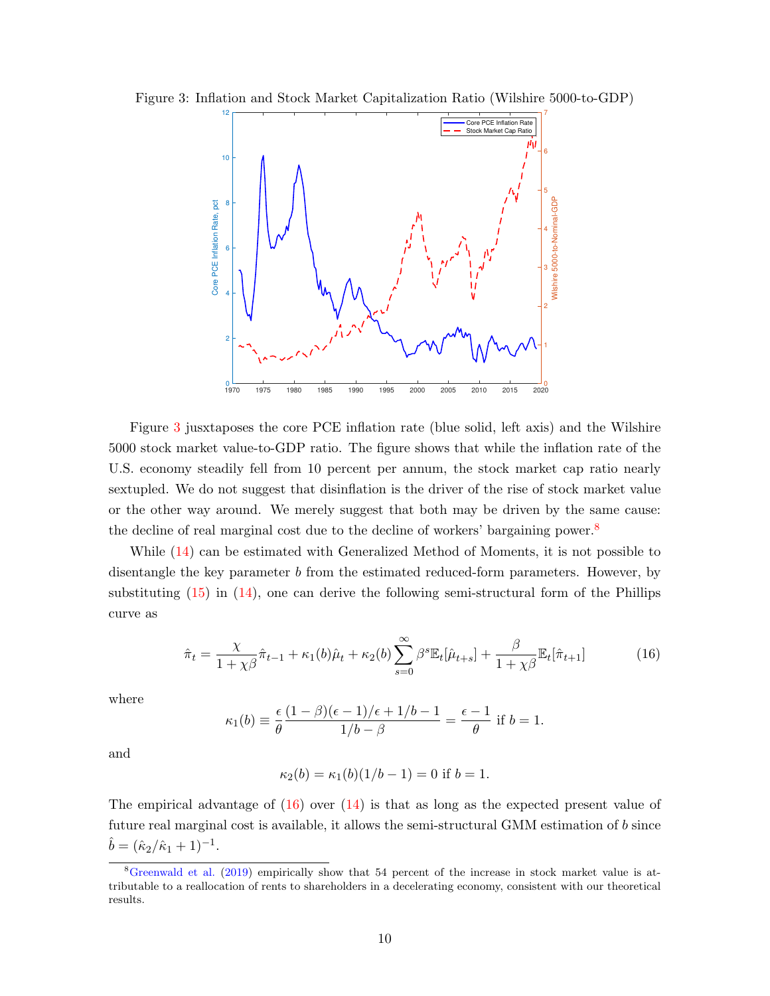

<span id="page-11-0"></span>Figure 3: Inflation and Stock Market Capitalization Ratio (Wilshire 5000-to-GDP)

Figure [3](#page-11-0) jusxtaposes the core PCE inflation rate (blue solid, left axis) and the Wilshire 5000 stock market value-to-GDP ratio. The figure shows that while the inflation rate of the U.S. economy steadily fell from 10 percent per annum, the stock market cap ratio nearly sextupled. We do not suggest that disinflation is the driver of the rise of stock market value or the other way around. We merely suggest that both may be driven by the same cause: the decline of real marginal cost due to the decline of workers' bargaining power.<sup>[8](#page-1-0)</sup>

While [\(14\)](#page-10-2) can be estimated with Generalized Method of Moments, it is not possible to disentangle the key parameter b from the estimated reduced-form parameters. However, by substituting  $(15)$  in  $(14)$ , one can derive the following semi-structural form of the Phillips curve as

<span id="page-11-1"></span>
$$
\hat{\pi}_t = \frac{\chi}{1 + \chi\beta}\hat{\pi}_{t-1} + \kappa_1(b)\hat{\mu}_t + \kappa_2(b)\sum_{s=0}^{\infty} \beta^s \mathbb{E}_t[\hat{\mu}_{t+s}] + \frac{\beta}{1 + \chi\beta} \mathbb{E}_t[\hat{\pi}_{t+1}] \tag{16}
$$

where

$$
\kappa_1(b) \equiv \frac{\epsilon}{\theta} \frac{(1-\beta)(\epsilon-1)/\epsilon + 1/b - 1}{1/b - \beta} = \frac{\epsilon - 1}{\theta}
$$
 if  $b = 1$ .

and

$$
\kappa_2(b) = \kappa_1(b)(1/b - 1) = 0
$$
 if  $b = 1$ .

The empirical advantage of  $(16)$  over  $(14)$  is that as long as the expected present value of future real marginal cost is available, it allows the semi-structural GMM estimation of b since  $\hat{b} = (\hat{\kappa}_2/\hat{\kappa}_1 + 1)^{-1}.$ 

<sup>8</sup>[Greenwald et al.](#page-34-6) [\(2019\)](#page-34-6) empirically show that 54 percent of the increase in stock market value is attributable to a reallocation of rents to shareholders in a decelerating economy, consistent with our theoretical results.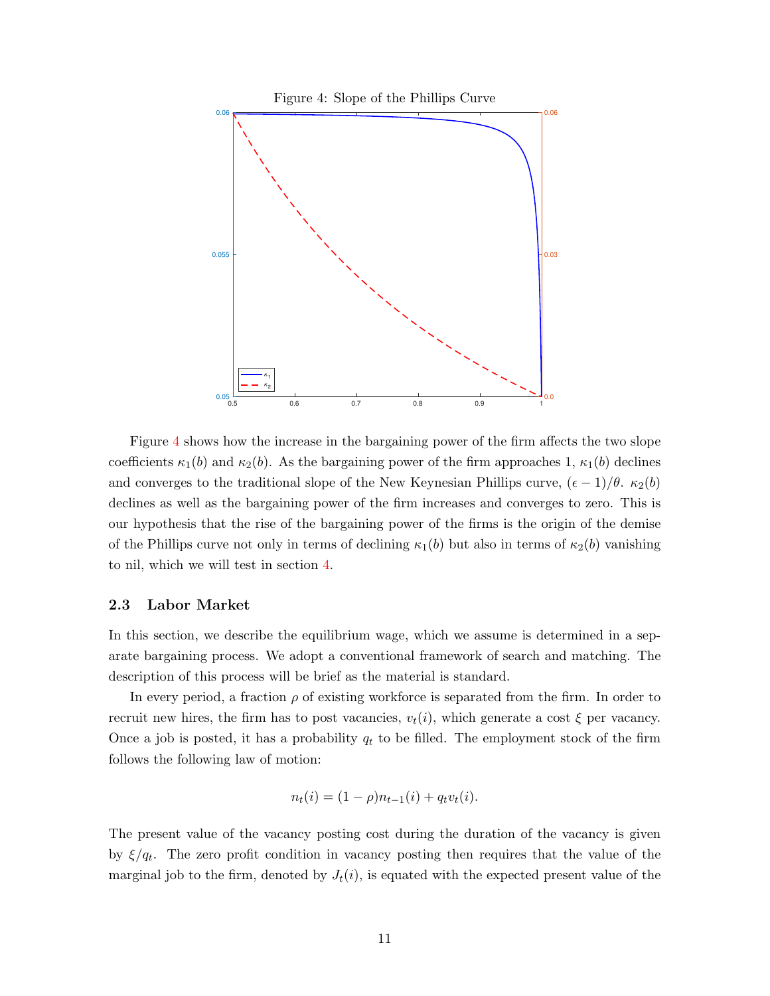<span id="page-12-0"></span>

Figure [4](#page-12-0) shows how the increase in the bargaining power of the firm affects the two slope coefficients  $\kappa_1(b)$  and  $\kappa_2(b)$ . As the bargaining power of the firm approaches 1,  $\kappa_1(b)$  declines and converges to the traditional slope of the New Keynesian Phillips curve,  $(\epsilon - 1)/\theta$ .  $\kappa_2(b)$ declines as well as the bargaining power of the firm increases and converges to zero. This is our hypothesis that the rise of the bargaining power of the firms is the origin of the demise of the Phillips curve not only in terms of declining  $\kappa_1(b)$  but also in terms of  $\kappa_2(b)$  vanishing to nil, which we will test in section [4.](#page-24-0)

#### 2.3 Labor Market

In this section, we describe the equilibrium wage, which we assume is determined in a separate bargaining process. We adopt a conventional framework of search and matching. The description of this process will be brief as the material is standard.

In every period, a fraction  $\rho$  of existing workforce is separated from the firm. In order to recruit new hires, the firm has to post vacancies,  $v_t(i)$ , which generate a cost  $\xi$  per vacancy. Once a job is posted, it has a probability  $q_t$  to be filled. The employment stock of the firm follows the following law of motion:

$$
n_t(i) = (1 - \rho)n_{t-1}(i) + q_tv_t(i).
$$

The present value of the vacancy posting cost during the duration of the vacancy is given by  $\xi/q_t$ . The zero profit condition in vacancy posting then requires that the value of the marginal job to the firm, denoted by  $J_t(i)$ , is equated with the expected present value of the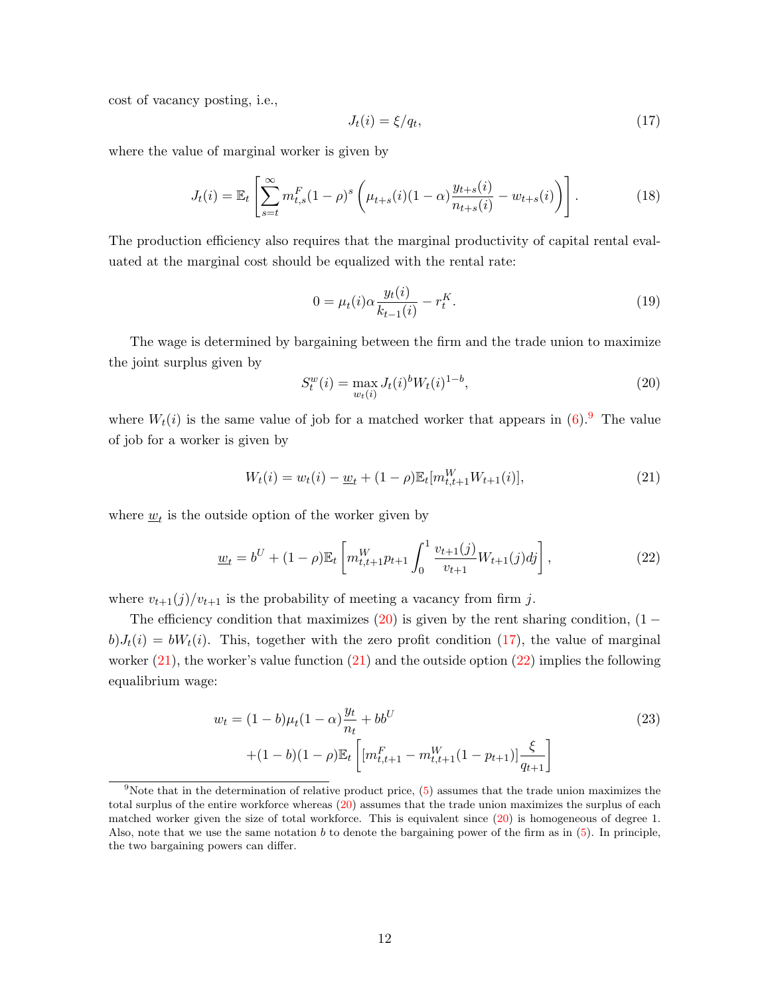cost of vacancy posting, i.e.,

<span id="page-13-1"></span>
$$
J_t(i) = \xi/q_t,\tag{17}
$$

where the value of marginal worker is given by

$$
J_t(i) = \mathbb{E}_t \left[ \sum_{s=t}^{\infty} m_{t,s}^F (1 - \rho)^s \left( \mu_{t+s}(i) (1 - \alpha) \frac{y_{t+s}(i)}{n_{t+s}(i)} - w_{t+s}(i) \right) \right].
$$
 (18)

The production efficiency also requires that the marginal productivity of capital rental evaluated at the marginal cost should be equalized with the rental rate:

$$
0 = \mu_t(i)\alpha \frac{y_t(i)}{k_{t-1}(i)} - r_t^K.
$$
\n(19)

The wage is determined by bargaining between the firm and the trade union to maximize the joint surplus given by

<span id="page-13-3"></span><span id="page-13-2"></span><span id="page-13-0"></span>
$$
S_t^w(i) = \max_{w_t(i)} J_t(i)^b W_t(i)^{1-b},\tag{20}
$$

where  $W_t(i)$  is the same value of job for a matched worker that appears in [\(6\)](#page-8-3).<sup>[9](#page-1-0)</sup> The value of job for a worker is given by

$$
W_t(i) = w_t(i) - \underline{w}_t + (1 - \rho) \mathbb{E}_t[m_{t,t+1}^W W_{t+1}(i)],
$$
\n(21)

where  $\underline{w}_t$  is the outside option of the worker given by

$$
\underline{w}_t = b^U + (1 - \rho) \mathbb{E}_t \left[ m_{t, t+1}^W p_{t+1} \int_0^1 \frac{v_{t+1}(j)}{v_{t+1}} W_{t+1}(j) dj \right], \tag{22}
$$

where  $v_{t+1}(j)/v_{t+1}$  is the probability of meeting a vacancy from firm j.

The efficiency condition that maximizes  $(20)$  is given by the rent sharing condition,  $(1$  $b)J_t(i) = bW_t(i)$ . This, together with the zero profit condition [\(17\)](#page-13-1), the value of marginal worker  $(21)$ , the worker's value function  $(21)$  and the outside option  $(22)$  implies the following equalibrium wage:

$$
w_t = (1 - b)\mu_t (1 - \alpha) \frac{y_t}{n_t} + bb^U
$$
  
 
$$
+ (1 - b)(1 - \rho) \mathbb{E}_t \left[ [m_{t,t+1}^F - m_{t,t+1}^W (1 - p_{t+1})] \frac{\xi}{q_{t+1}} \right]
$$
 (23)

<sup>&</sup>lt;sup>9</sup>Note that in the determination of relative product price,  $(5)$  assumes that the trade union maximizes the total surplus of the entire workforce whereas [\(20\)](#page-13-0) assumes that the trade union maximizes the surplus of each matched worker given the size of total workforce. This is equivalent since [\(20\)](#page-13-0) is homogeneous of degree 1. Also, note that we use the same notation  $b$  to denote the bargaining power of the firm as in  $(5)$ . In principle, the two bargaining powers can differ.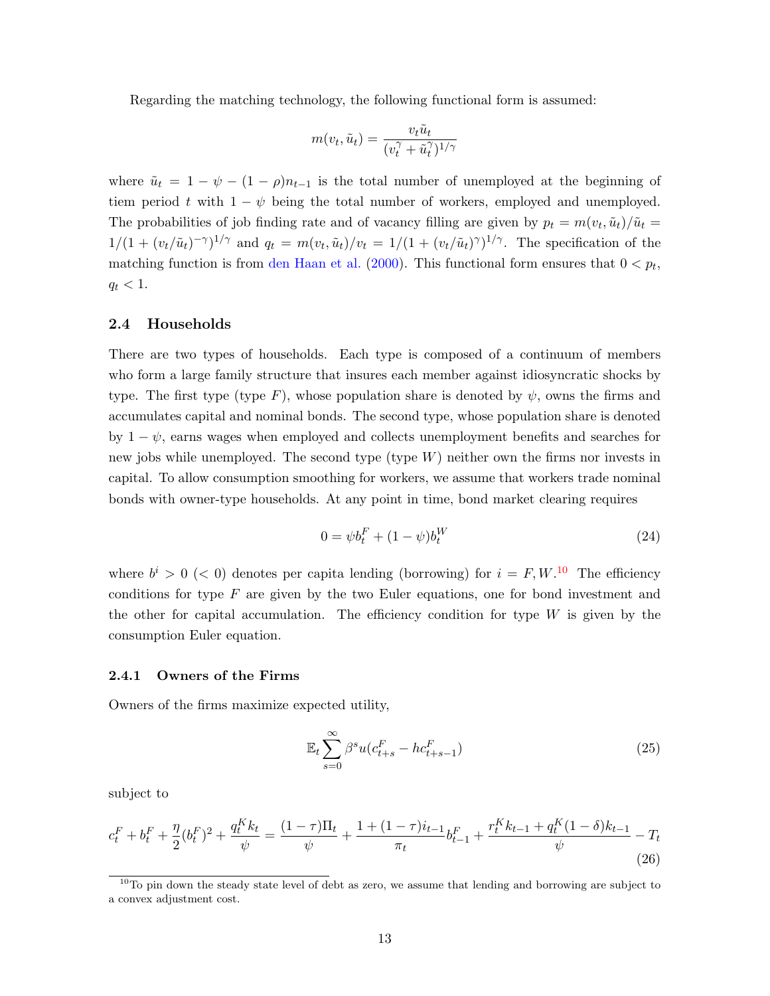Regarding the matching technology, the following functional form is assumed:

$$
m(v_t, \tilde{u}_t) = \frac{v_t \tilde{u}_t}{(v_t^{\gamma} + \tilde{u}_t^{\gamma})^{1/\gamma}}
$$

where  $\tilde{u}_t = 1 - \psi - (1 - \rho)n_{t-1}$  is the total number of unemployed at the beginning of tiem period t with  $1 - \psi$  being the total number of workers, employed and unemployed. The probabilities of job finding rate and of vacancy filling are given by  $p_t = m(v_t, \tilde{u}_t)/\tilde{u}_t =$  $1/(1+(v_t/\tilde{u}_t)^{-\gamma})^{1/\gamma}$  and  $q_t = m(v_t,\tilde{u}_t)/v_t = 1/(1+(v_t/\tilde{u}_t)^{\gamma})^{1/\gamma}$ . The specification of the matching function is from [den Haan et al.](#page-33-3) [\(2000\)](#page-33-3). This functional form ensures that  $0 < p_t$ ,  $q_t < 1$ .

### 2.4 Households

There are two types of households. Each type is composed of a continuum of members who form a large family structure that insures each member against idiosyncratic shocks by type. The first type (type F), whose population share is denoted by  $\psi$ , owns the firms and accumulates capital and nominal bonds. The second type, whose population share is denoted by  $1 - \psi$ , earns wages when employed and collects unemployment benefits and searches for new jobs while unemployed. The second type  $(V)$  neither own the firms nor invests in capital. To allow consumption smoothing for workers, we assume that workers trade nominal bonds with owner-type households. At any point in time, bond market clearing requires

$$
0 = \psi b_t^F + (1 - \psi)b_t^W \tag{24}
$$

where  $b^{i} > 0$  (< 0) denotes per capita lending (borrowing) for  $i = F, W$ .<sup>[10](#page-1-0)</sup> The efficiency conditions for type  $F$  are given by the two Euler equations, one for bond investment and the other for capital accumulation. The efficiency condition for type  $W$  is given by the consumption Euler equation.

#### 2.4.1 Owners of the Firms

Owners of the firms maximize expected utility,

$$
\mathbb{E}_t \sum_{s=0}^{\infty} \beta^s u(c_{t+s}^F - hc_{t+s-1}^F)
$$
\n(25)

subject to

$$
c_t^F + b_t^F + \frac{\eta}{2}(b_t^F)^2 + \frac{q_t^K k_t}{\psi} = \frac{(1-\tau)\Pi_t}{\psi} + \frac{1+(1-\tau)i_{t-1}}{\pi_t}b_{t-1}^F + \frac{r_t^K k_{t-1} + q_t^K (1-\delta)k_{t-1}}{\psi} - T_t
$$
\n(26)

 $10$ To pin down the steady state level of debt as zero, we assume that lending and borrowing are subject to a convex adjustment cost.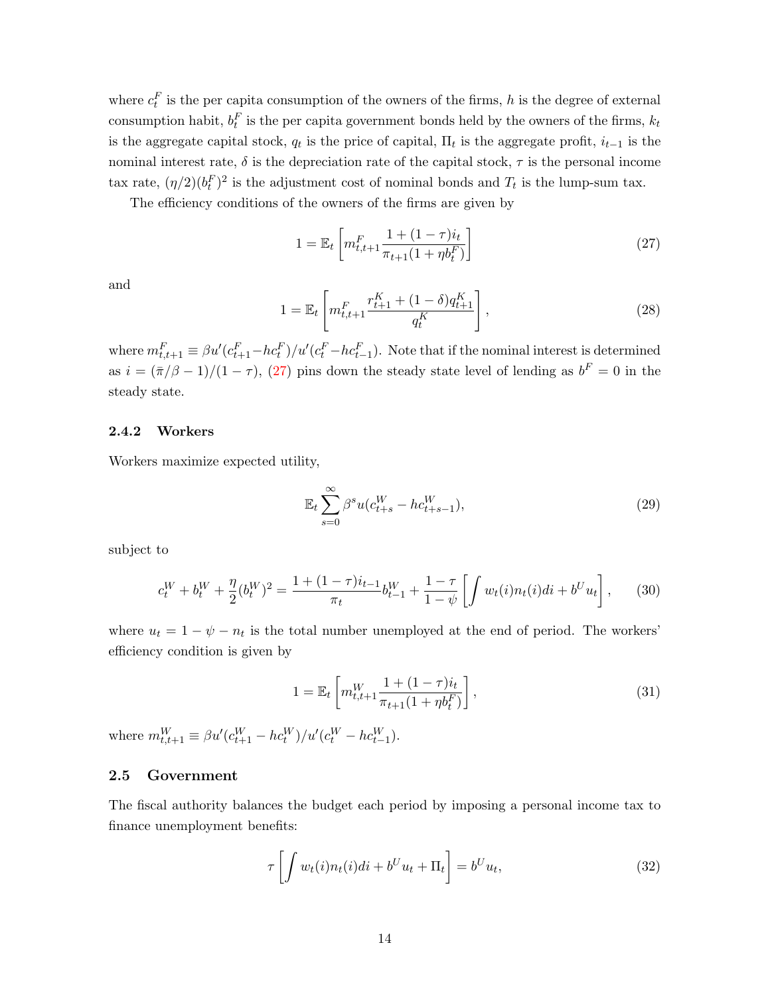where  $c_t^F$  is the per capita consumption of the owners of the firms, h is the degree of external consumption habit,  $b_t^F$  is the per capita government bonds held by the owners of the firms,  $k_t$ is the aggregate capital stock,  $q_t$  is the price of capital,  $\Pi_t$  is the aggregate profit,  $i_{t-1}$  is the nominal interest rate,  $\delta$  is the depreciation rate of the capital stock,  $\tau$  is the personal income tax rate,  $(\eta/2)(b_t^F)^2$  is the adjustment cost of nominal bonds and  $T_t$  is the lump-sum tax.

The efficiency conditions of the owners of the firms are given by

<span id="page-15-0"></span>
$$
1 = \mathbb{E}_t \left[ m_{t,t+1}^F \frac{1 + (1 - \tau) i_t}{\pi_{t+1} (1 + \eta b_t^F)} \right]
$$
 (27)

and

$$
1 = \mathbb{E}_t \left[ m_{t,t+1}^F \frac{r_{t+1}^K + (1 - \delta) q_{t+1}^K}{q_t^K} \right],
$$
\n(28)

where  $m_{t,t+1}^F \equiv \beta u'(c_{t+1}^F - h c_t^F)/u'(c_t^F - h c_{t-1}^F)$ . Note that if the nominal interest is determined as  $i = (\bar{\pi}/\beta - 1)/(1 - \tau)$ , [\(27\)](#page-15-0) pins down the steady state level of lending as  $b^F = 0$  in the steady state.

### 2.4.2 Workers

Workers maximize expected utility,

$$
\mathbb{E}_{t} \sum_{s=0}^{\infty} \beta^{s} u(c_{t+s}^{W} - h c_{t+s-1}^{W}), \tag{29}
$$

subject to

$$
c_t^W + b_t^W + \frac{\eta}{2} (b_t^W)^2 = \frac{1 + (1 - \tau)i_{t-1}}{\pi_t} b_{t-1}^W + \frac{1 - \tau}{1 - \psi} \left[ \int w_t(i) n_t(i) di + b^U u_t \right], \tag{30}
$$

where  $u_t = 1 - \psi - n_t$  is the total number unemployed at the end of period. The workers' efficiency condition is given by

$$
1 = \mathbb{E}_t \left[ m_{t,t+1}^W \frac{1 + (1 - \tau) i_t}{\pi_{t+1} (1 + \eta b_t^F)} \right],
$$
\n(31)

where  $m_{t,t+1}^W \equiv \beta u' (c_{t+1}^W - h c_t^W)/u' (c_t^W - h c_{t-1}^W)$ .

### 2.5 Government

The fiscal authority balances the budget each period by imposing a personal income tax to finance unemployment benefits:

$$
\tau \left[ \int w_t(i) n_t(i) di + b^U u_t + \Pi_t \right] = b^U u_t,
$$
\n(32)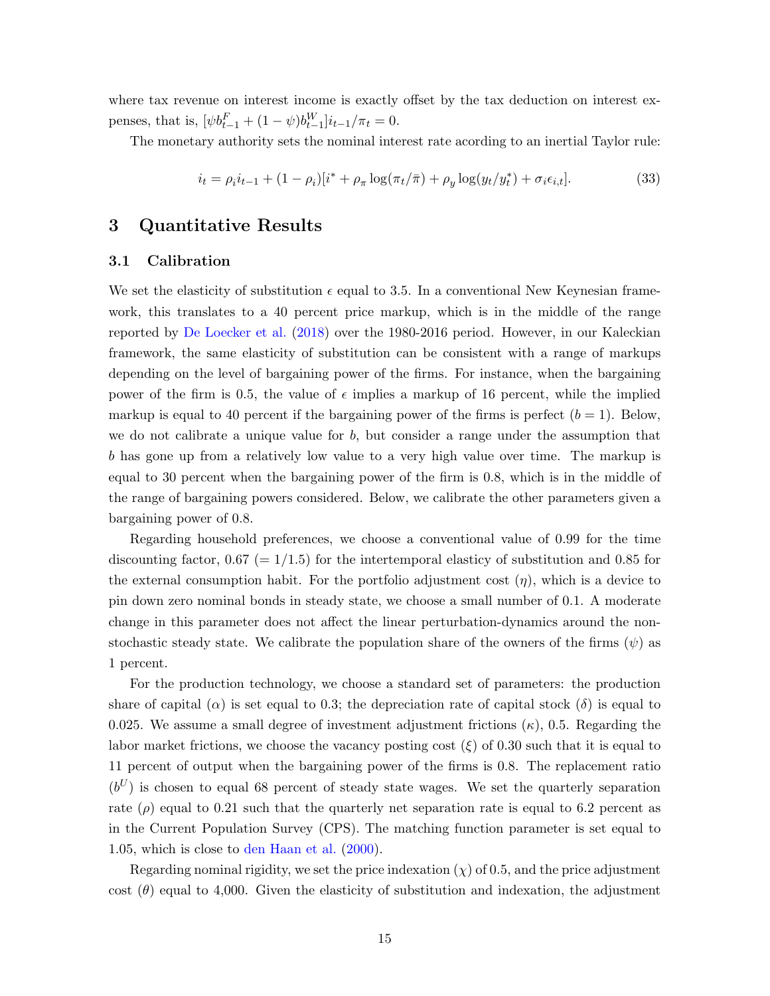where tax revenue on interest income is exactly offset by the tax deduction on interest expenses, that is,  $[\psi b_{t-1}^F + (1 - \psi)b_{t-1}^W]i_{t-1}/\pi_t = 0.$ 

The monetary authority sets the nominal interest rate acording to an inertial Taylor rule:

$$
i_t = \rho_i i_{t-1} + (1 - \rho_i)[i^* + \rho_\pi \log(\pi_t/\bar{\pi}) + \rho_y \log(y_t/y_t^*) + \sigma_i \epsilon_{i,t}].
$$
\n(33)

### <span id="page-16-0"></span>3 Quantitative Results

### 3.1 Calibration

We set the elasticity of substitution  $\epsilon$  equal to 3.5. In a conventional New Keynesian framework, this translates to a 40 percent price markup, which is in the middle of the range reported by [De Loecker et al.](#page-34-2) [\(2018\)](#page-34-2) over the 1980-2016 period. However, in our Kaleckian framework, the same elasticity of substitution can be consistent with a range of markups depending on the level of bargaining power of the firms. For instance, when the bargaining power of the firm is 0.5, the value of  $\epsilon$  implies a markup of 16 percent, while the implied markup is equal to 40 percent if the bargaining power of the firms is perfect  $(b = 1)$ . Below, we do not calibrate a unique value for  $b$ , but consider a range under the assumption that b has gone up from a relatively low value to a very high value over time. The markup is equal to 30 percent when the bargaining power of the firm is 0.8, which is in the middle of the range of bargaining powers considered. Below, we calibrate the other parameters given a bargaining power of 0.8.

Regarding household preferences, we choose a conventional value of 0.99 for the time discounting factor, 0.67 (=  $1/1.5$ ) for the intertemporal elasticy of substitution and 0.85 for the external consumption habit. For the portfolio adjustment cost  $(\eta)$ , which is a device to pin down zero nominal bonds in steady state, we choose a small number of 0.1. A moderate change in this parameter does not affect the linear perturbation-dynamics around the nonstochastic steady state. We calibrate the population share of the owners of the firms  $(\psi)$  as 1 percent.

For the production technology, we choose a standard set of parameters: the production share of capital ( $\alpha$ ) is set equal to 0.3; the depreciation rate of capital stock ( $\delta$ ) is equal to 0.025. We assume a small degree of investment adjustment frictions  $(\kappa)$ , 0.5. Regarding the labor market frictions, we choose the vacancy posting cost  $(\xi)$  of 0.30 such that it is equal to 11 percent of output when the bargaining power of the firms is 0.8. The replacement ratio  $(b^U)$  is chosen to equal 68 percent of steady state wages. We set the quarterly separation rate  $(\rho)$  equal to 0.21 such that the quarterly net separation rate is equal to 6.2 percent as in the Current Population Survey (CPS). The matching function parameter is set equal to 1.05, which is close to [den Haan et al.](#page-33-3) [\(2000\)](#page-33-3).

Regarding nominal rigidity, we set the price indexation  $(\chi)$  of 0.5, and the price adjustment cost  $(\theta)$  equal to 4,000. Given the elasticity of substitution and indexation, the adjustment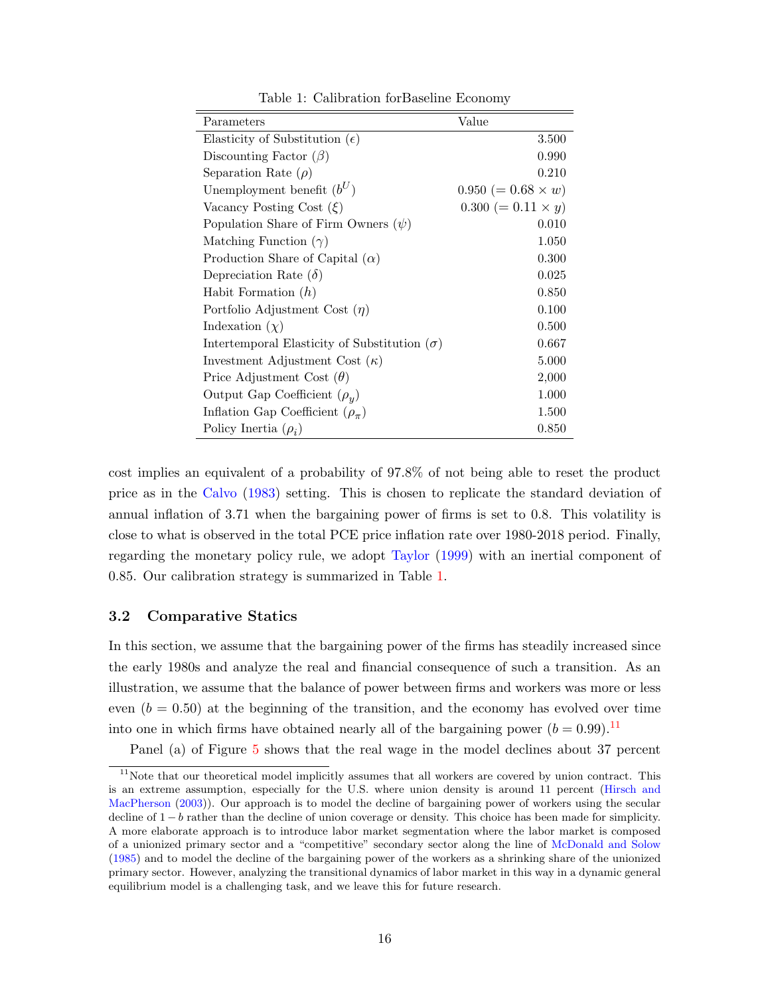<span id="page-17-0"></span>

| Parameters                                          | Value                     |
|-----------------------------------------------------|---------------------------|
| Elasticity of Substitution $(\epsilon)$             | 3.500                     |
| Discounting Factor $(\beta)$                        | 0.990                     |
| Separation Rate $(\rho)$                            | 0.210                     |
| Unemployment benefit $(b^U)$                        | $0.950 (= 0.68 \times w)$ |
| Vacancy Posting Cost $(\xi)$                        | $0.300 (= 0.11 \times y)$ |
| Population Share of Firm Owners $(\psi)$            | 0.010                     |
| Matching Function $(\gamma)$                        | 1.050                     |
| Production Share of Capital $(\alpha)$              | 0.300                     |
| Depreciation Rate $(\delta)$                        | 0.025                     |
| Habit Formation $(h)$                               | 0.850                     |
| Portfolio Adjustment Cost $(\eta)$                  | 0.100                     |
| Indexation $(\chi)$                                 | 0.500                     |
| Intertemporal Elasticity of Substitution $(\sigma)$ | 0.667                     |
| Investment Adjustment Cost $(\kappa)$               | 5.000                     |
| Price Adjustment Cost $(\theta)$                    | 2,000                     |
| Output Gap Coefficient $(\rho_u)$                   | 1.000                     |
| Inflation Gap Coefficient $(\rho_{\pi})$            | 1.500                     |
| Policy Inertia $(\rho_i)$                           | 0.850                     |

Table 1: Calibration forBaseline Economy

cost implies an equivalent of a probability of 97.8% of not being able to reset the product price as in the [Calvo](#page-33-4) [\(1983\)](#page-33-4) setting. This is chosen to replicate the standard deviation of annual inflation of 3.71 when the bargaining power of firms is set to 0.8. This volatility is close to what is observed in the total PCE price inflation rate over 1980-2018 period. Finally, regarding the monetary policy rule, we adopt [Taylor](#page-35-8) [\(1999\)](#page-35-8) with an inertial component of 0.85. Our calibration strategy is summarized in Table [1.](#page-17-0)

#### 3.2 Comparative Statics

In this section, we assume that the bargaining power of the firms has steadily increased since the early 1980s and analyze the real and financial consequence of such a transition. As an illustration, we assume that the balance of power between firms and workers was more or less even  $(b = 0.50)$  at the beginning of the transition, and the economy has evolved over time into one in which firms have obtained nearly all of the bargaining power  $(b = 0.99)$ .<sup>[11](#page-1-0)</sup>

Panel (a) of Figure [5](#page-19-0) shows that the real wage in the model declines about 37 percent

 $11$ Note that our theoretical model implicitly assumes that all workers are covered by union contract. This is an extreme assumption, especially for the U.S. where union density is around 11 percent [\(Hirsch and](#page-34-7) [MacPherson](#page-34-7) [\(2003\)](#page-34-7)). Our approach is to model the decline of bargaining power of workers using the secular decline of 1 − b rather than the decline of union coverage or density. This choice has been made for simplicity. A more elaborate approach is to introduce labor market segmentation where the labor market is composed of a unionized primary sector and a "competitive" secondary sector along the line of [McDonald and Solow](#page-35-5) [\(1985\)](#page-35-5) and to model the decline of the bargaining power of the workers as a shrinking share of the unionized primary sector. However, analyzing the transitional dynamics of labor market in this way in a dynamic general equilibrium model is a challenging task, and we leave this for future research.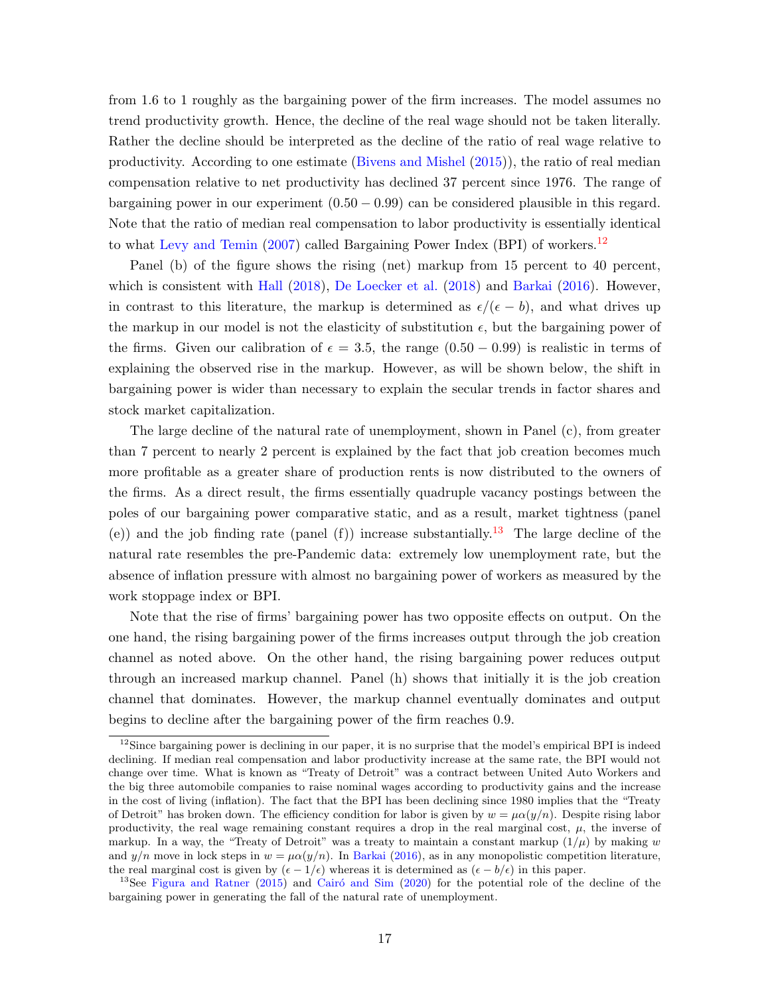from 1.6 to 1 roughly as the bargaining power of the firm increases. The model assumes no trend productivity growth. Hence, the decline of the real wage should not be taken literally. Rather the decline should be interpreted as the decline of the ratio of real wage relative to productivity. According to one estimate [\(Bivens and Mishel](#page-33-5) [\(2015\)](#page-33-5)), the ratio of real median compensation relative to net productivity has declined 37 percent since 1976. The range of bargaining power in our experiment  $(0.50 - 0.99)$  can be considered plausible in this regard. Note that the ratio of median real compensation to labor productivity is essentially identical to what [Levy and Temin](#page-34-8) [\(2007\)](#page-34-8) called Bargaining Power Index (BPI) of workers.<sup>[12](#page-1-0)</sup>

Panel (b) of the figure shows the rising (net) markup from 15 percent to 40 percent, which is consistent with [Hall](#page-34-9) [\(2018\)](#page-34-2), [De Loecker et al.](#page-34-2) (2018) and [Barkai](#page-33-0) [\(2016\)](#page-33-0). However, in contrast to this literature, the markup is determined as  $\epsilon/(\epsilon - b)$ , and what drives up the markup in our model is not the elasticity of substitution  $\epsilon$ , but the bargaining power of the firms. Given our calibration of  $\epsilon = 3.5$ , the range  $(0.50 - 0.99)$  is realistic in terms of explaining the observed rise in the markup. However, as will be shown below, the shift in bargaining power is wider than necessary to explain the secular trends in factor shares and stock market capitalization.

The large decline of the natural rate of unemployment, shown in Panel (c), from greater than 7 percent to nearly 2 percent is explained by the fact that job creation becomes much more profitable as a greater share of production rents is now distributed to the owners of the firms. As a direct result, the firms essentially quadruple vacancy postings between the poles of our bargaining power comparative static, and as a result, market tightness (panel (e)) and the job finding rate (panel (f)) increase substantially.<sup>[13](#page-1-0)</sup> The large decline of the natural rate resembles the pre-Pandemic data: extremely low unemployment rate, but the absence of inflation pressure with almost no bargaining power of workers as measured by the work stoppage index or BPI.

Note that the rise of firms' bargaining power has two opposite effects on output. On the one hand, the rising bargaining power of the firms increases output through the job creation channel as noted above. On the other hand, the rising bargaining power reduces output through an increased markup channel. Panel (h) shows that initially it is the job creation channel that dominates. However, the markup channel eventually dominates and output begins to decline after the bargaining power of the firm reaches 0.9.

<sup>&</sup>lt;sup>12</sup>Since bargaining power is declining in our paper, it is no surprise that the model's empirical BPI is indeed declining. If median real compensation and labor productivity increase at the same rate, the BPI would not change over time. What is known as "Treaty of Detroit" was a contract between United Auto Workers and the big three automobile companies to raise nominal wages according to productivity gains and the increase in the cost of living (inflation). The fact that the BPI has been declining since 1980 implies that the "Treaty of Detroit" has broken down. The efficiency condition for labor is given by  $w = \mu \alpha(y/n)$ . Despite rising labor productivity, the real wage remaining constant requires a drop in the real marginal cost,  $\mu$ , the inverse of markup. In a way, the "Treaty of Detroit" was a treaty to maintain a constant markup  $(1/\mu)$  by making w and  $y/n$  move in lock steps in  $w = \mu \alpha(y/n)$ . In [Barkai](#page-33-0) [\(2016\)](#page-33-0), as in any monopolistic competition literature, the real marginal cost is given by  $(\epsilon - 1/\epsilon)$  whereas it is determined as  $(\epsilon - b/\epsilon)$  in this paper.

<sup>&</sup>lt;sup>13</sup>See [Figura and Ratner](#page-33-6) [\(2015\)](#page-33-6) and Cairó and Sim [\(2020\)](#page-33-7) for the potential role of the decline of the bargaining power in generating the fall of the natural rate of unemployment.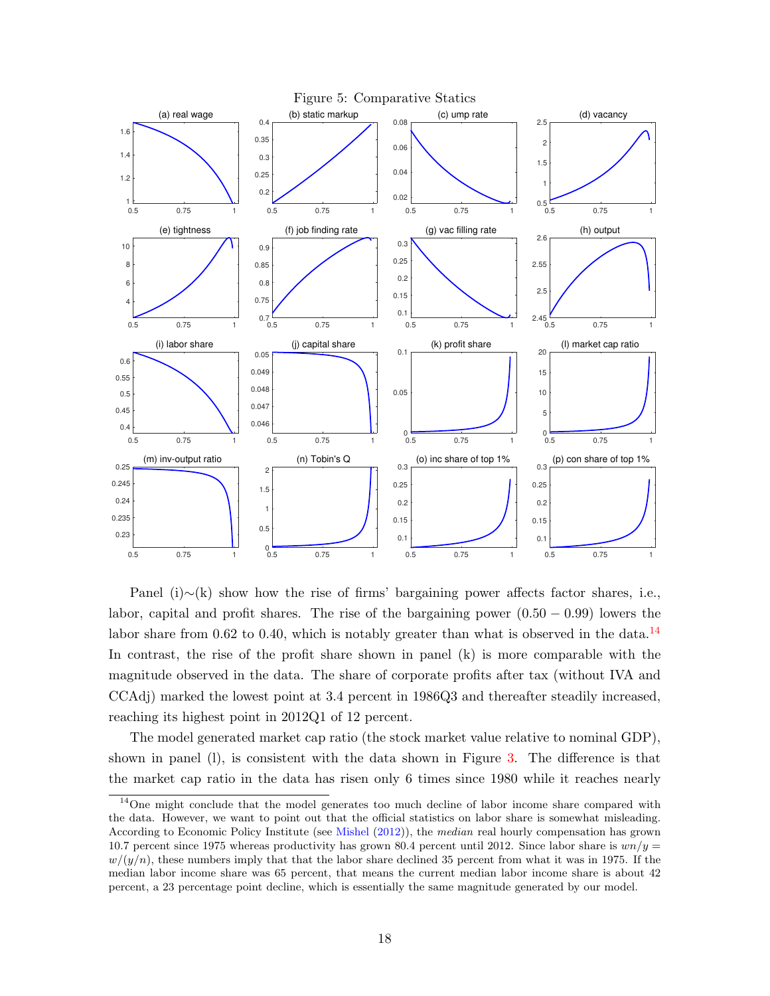<span id="page-19-0"></span>

Panel (i)∼(k) show how the rise of firms' bargaining power affects factor shares, i.e., labor, capital and profit shares. The rise of the bargaining power  $(0.50 - 0.99)$  lowers the labor share from 0.62 to 0.40, which is notably greater than what is observed in the data.<sup>[14](#page-1-0)</sup> In contrast, the rise of the profit share shown in panel (k) is more comparable with the magnitude observed in the data. The share of corporate profits after tax (without IVA and CCAdj) marked the lowest point at 3.4 percent in 1986Q3 and thereafter steadily increased, reaching its highest point in 2012Q1 of 12 percent.

The model generated market cap ratio (the stock market value relative to nominal GDP), shown in panel (l), is consistent with the data shown in Figure [3.](#page-11-0) The difference is that the market cap ratio in the data has risen only 6 times since 1980 while it reaches nearly

<sup>&</sup>lt;sup>14</sup>One might conclude that the model generates too much decline of labor income share compared with the data. However, we want to point out that the official statistics on labor share is somewhat misleading. According to Economic Policy Institute (see [Mishel](#page-35-9) [\(2012\)](#page-35-9)), the median real hourly compensation has grown 10.7 percent since 1975 whereas productivity has grown 80.4 percent until 2012. Since labor share is  $wn/y =$  $w/(y/n)$ , these numbers imply that that the labor share declined 35 percent from what it was in 1975. If the median labor income share was 65 percent, that means the current median labor income share is about 42 percent, a 23 percentage point decline, which is essentially the same magnitude generated by our model.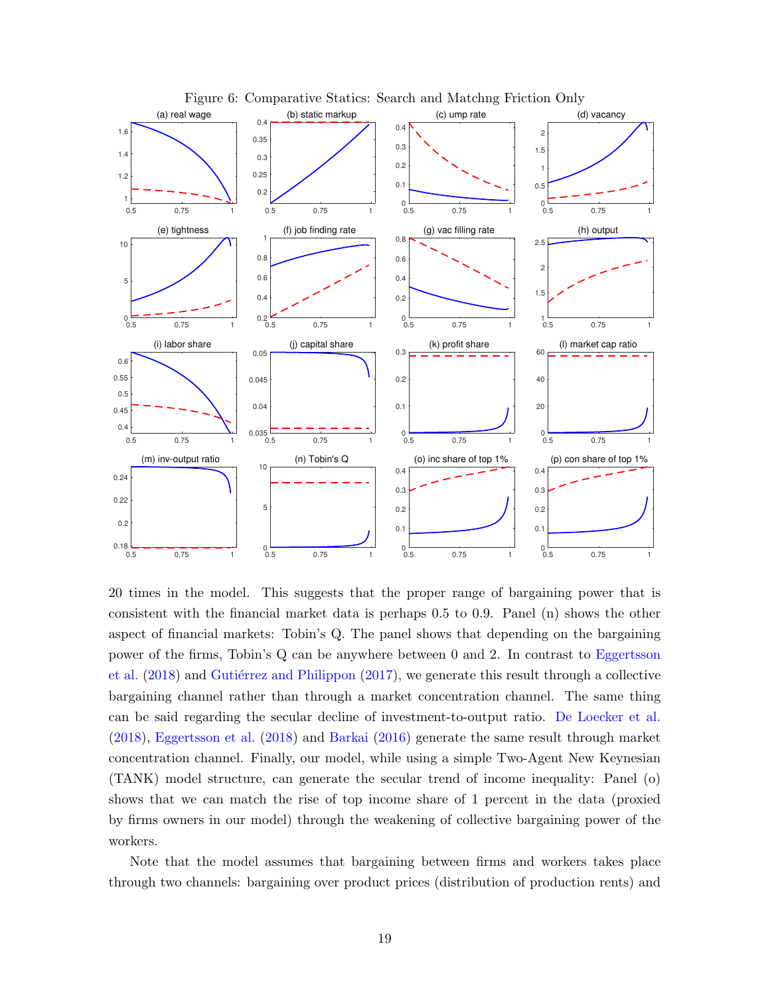<span id="page-20-0"></span>

20 times in the model. This suggests that the proper range of bargaining power that is consistent with the financial market data is perhaps 0.5 to 0.9. Panel (n) shows the other aspect of financial markets: Tobin's Q. The panel shows that depending on the bargaining power of the firms, Tobin's Q can be anywhere between 0 and 2. In contrast to [Eggertsson](#page-33-8) [et al.](#page-33-8)  $(2018)$  and Gutiérrez and Philippon  $(2017)$ , we generate this result through a collective bargaining channel rather than through a market concentration channel. The same thing can be said regarding the secular decline of investment-to-output ratio. [De Loecker et al.](#page-34-2) [\(2018\)](#page-34-2), [Eggertsson et al.](#page-33-8) [\(2018\)](#page-33-8) and [Barkai](#page-33-0) [\(2016\)](#page-33-0) generate the same result through market concentration channel. Finally, our model, while using a simple Two-Agent New Keynesian (TANK) model structure, can generate the secular trend of income inequality: Panel (o) shows that we can match the rise of top income share of 1 percent in the data (proxied by firms owners in our model) through the weakening of collective bargaining power of the workers.

Note that the model assumes that bargaining between firms and workers takes place through two channels: bargaining over product prices (distribution of production rents) and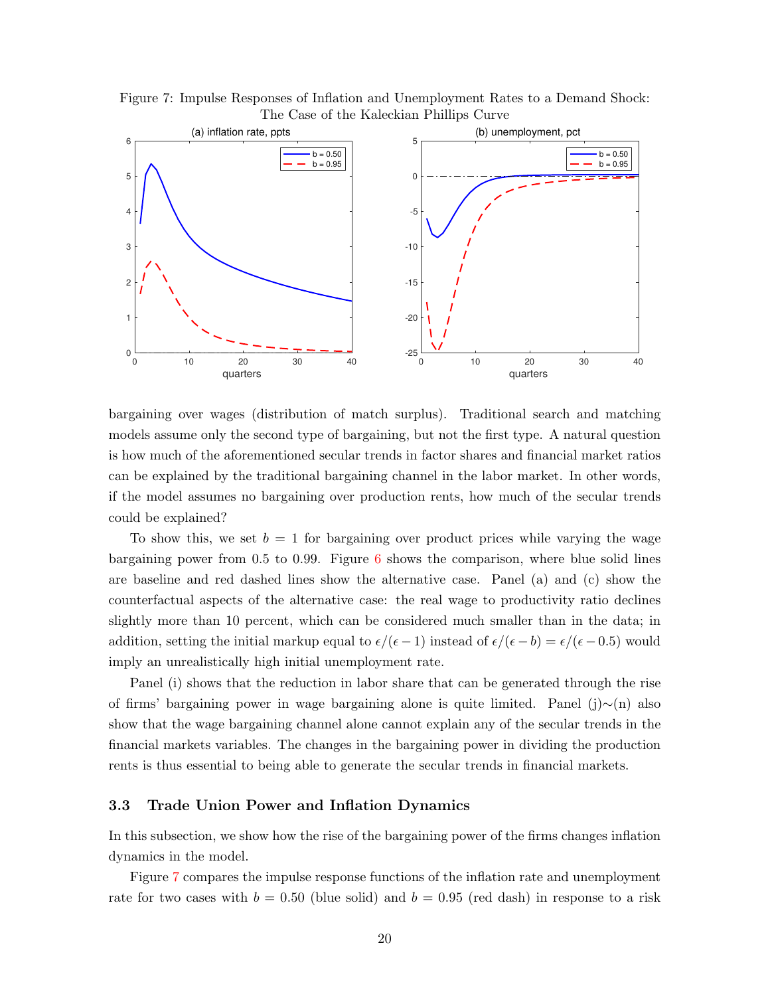<span id="page-21-0"></span>Figure 7: Impulse Responses of Inflation and Unemployment Rates to a Demand Shock: The Case of the Kaleckian Phillips Curve



bargaining over wages (distribution of match surplus). Traditional search and matching models assume only the second type of bargaining, but not the first type. A natural question is how much of the aforementioned secular trends in factor shares and financial market ratios can be explained by the traditional bargaining channel in the labor market. In other words, if the model assumes no bargaining over production rents, how much of the secular trends could be explained?

To show this, we set  $b = 1$  for bargaining over product prices while varying the wage bargaining power from  $0.5$  to  $0.99$ . Figure [6](#page-20-0) shows the comparison, where blue solid lines are baseline and red dashed lines show the alternative case. Panel (a) and (c) show the counterfactual aspects of the alternative case: the real wage to productivity ratio declines slightly more than 10 percent, which can be considered much smaller than in the data; in addition, setting the initial markup equal to  $\epsilon/(\epsilon - 1)$  instead of  $\epsilon/(\epsilon - b) = \epsilon/(\epsilon - 0.5)$  would imply an unrealistically high initial unemployment rate.

Panel (i) shows that the reduction in labor share that can be generated through the rise of firms' bargaining power in wage bargaining alone is quite limited. Panel (j)∼(n) also show that the wage bargaining channel alone cannot explain any of the secular trends in the financial markets variables. The changes in the bargaining power in dividing the production rents is thus essential to being able to generate the secular trends in financial markets.

### 3.3 Trade Union Power and Inflation Dynamics

In this subsection, we show how the rise of the bargaining power of the firms changes inflation dynamics in the model.

Figure [7](#page-21-0) compares the impulse response functions of the inflation rate and unemployment rate for two cases with  $b = 0.50$  (blue solid) and  $b = 0.95$  (red dash) in response to a risk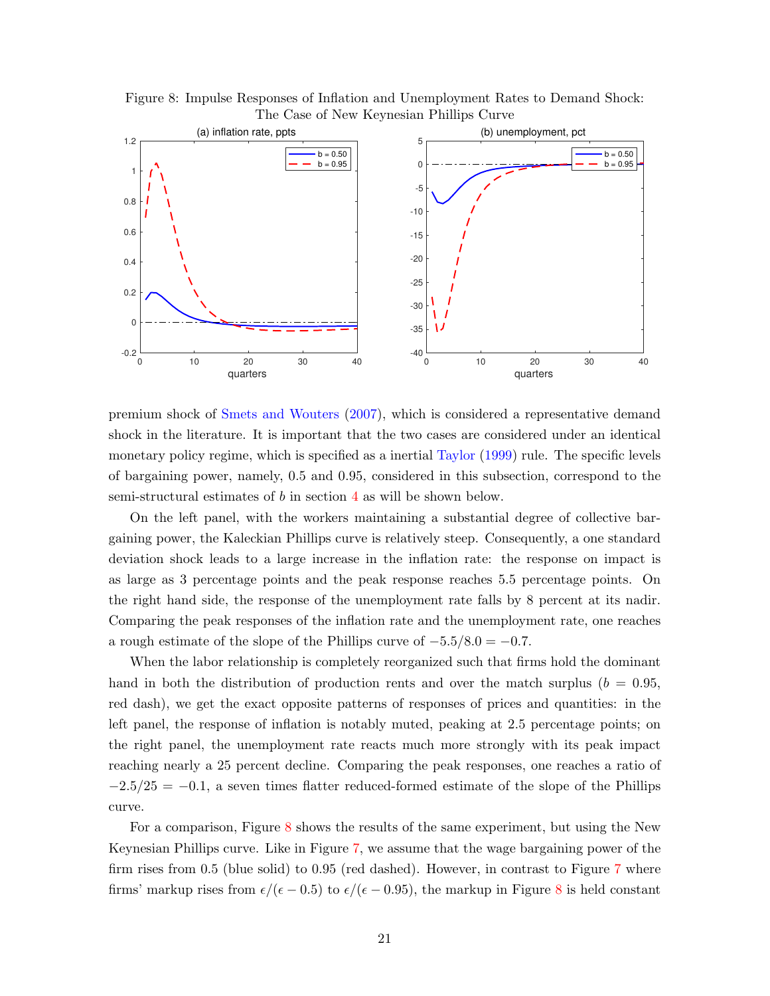<span id="page-22-0"></span>Figure 8: Impulse Responses of Inflation and Unemployment Rates to Demand Shock: The Case of New Keynesian Phillips Curve



premium shock of [Smets and Wouters](#page-35-10) [\(2007\)](#page-35-10), which is considered a representative demand shock in the literature. It is important that the two cases are considered under an identical monetary policy regime, which is specified as a inertial [Taylor](#page-35-8) [\(1999\)](#page-35-8) rule. The specific levels of bargaining power, namely, 0.5 and 0.95, considered in this subsection, correspond to the semi-structural estimates of b in section [4](#page-24-0) as will be shown below.

On the left panel, with the workers maintaining a substantial degree of collective bargaining power, the Kaleckian Phillips curve is relatively steep. Consequently, a one standard deviation shock leads to a large increase in the inflation rate: the response on impact is as large as 3 percentage points and the peak response reaches 5.5 percentage points. On the right hand side, the response of the unemployment rate falls by 8 percent at its nadir. Comparing the peak responses of the inflation rate and the unemployment rate, one reaches a rough estimate of the slope of the Phillips curve of  $-5.5/8.0 = -0.7$ .

When the labor relationship is completely reorganized such that firms hold the dominant hand in both the distribution of production rents and over the match surplus ( $b = 0.95$ , red dash), we get the exact opposite patterns of responses of prices and quantities: in the left panel, the response of inflation is notably muted, peaking at 2.5 percentage points; on the right panel, the unemployment rate reacts much more strongly with its peak impact reaching nearly a 25 percent decline. Comparing the peak responses, one reaches a ratio of  $-2.5/25 = -0.1$ , a seven times flatter reduced-formed estimate of the slope of the Phillips curve.

For a comparison, Figure [8](#page-22-0) shows the results of the same experiment, but using the New Keynesian Phillips curve. Like in Figure [7,](#page-21-0) we assume that the wage bargaining power of the firm rises from 0.5 (blue solid) to 0.95 (red dashed). However, in contrast to Figure [7](#page-21-0) where firms' markup rises from  $\epsilon/(\epsilon - 0.5)$  to  $\epsilon/(\epsilon - 0.95)$ , the markup in Figure [8](#page-22-0) is held constant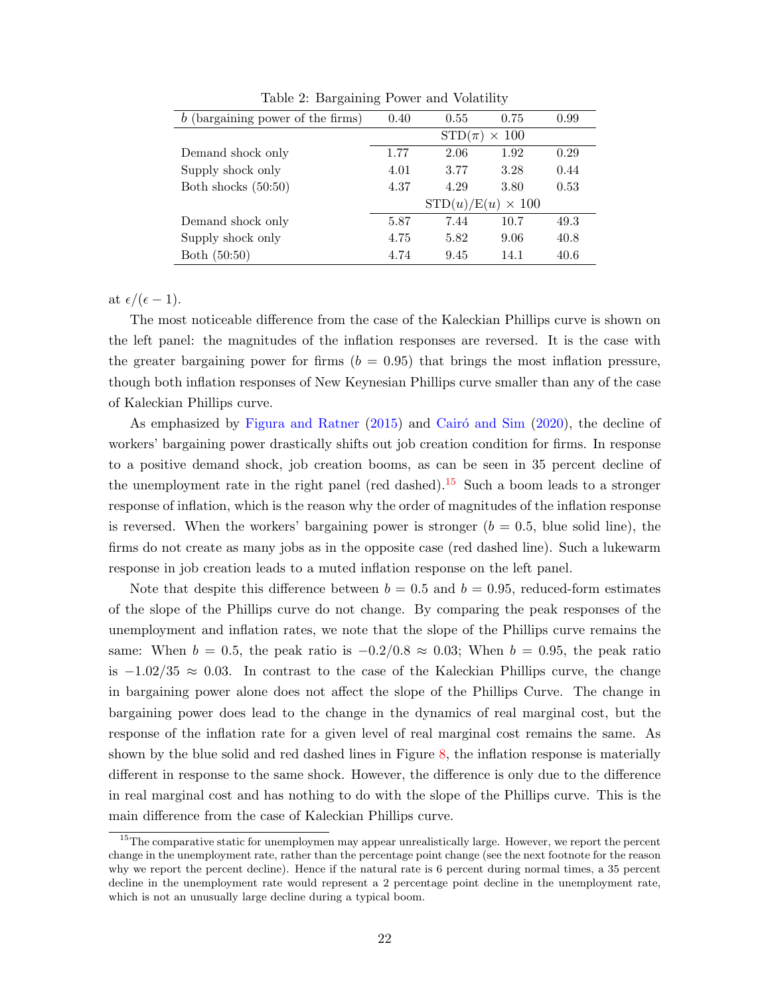<span id="page-23-0"></span>

| (bargaining power of the firms)<br>b | 0.40                        | 0.55 | 0.75 | 0.99 |
|--------------------------------------|-----------------------------|------|------|------|
|                                      | $STD(\pi)$<br>$\times$ 100  |      |      |      |
| Demand shock only                    | 1.77                        | 2.06 | 1.92 | 0.29 |
| Supply shock only                    | 4.01                        | 3.77 | 3.28 | 0.44 |
| Both shocks $(50:50)$                | 4.37                        | 4.29 | 3.80 | 0.53 |
|                                      | $\times$ 100<br>STD(u)/E(u) |      |      |      |
| Demand shock only                    | 5.87                        | 7.44 | 10.7 | 49.3 |
| Supply shock only                    | 4.75                        | 5.82 | 9.06 | 40.8 |
| Both (50:50)                         | 4.74                        | 9.45 | 14.1 | 40.6 |

Table 2: Bargaining Power and Volatility

at  $\epsilon/(\epsilon - 1)$ .

The most noticeable difference from the case of the Kaleckian Phillips curve is shown on the left panel: the magnitudes of the inflation responses are reversed. It is the case with the greater bargaining power for firms  $(b = 0.95)$  that brings the most inflation pressure, though both inflation responses of New Keynesian Phillips curve smaller than any of the case of Kaleckian Phillips curve.

As emphasized by [Figura and Ratner](#page-33-6)  $(2015)$  and Cairó and Sim  $(2020)$ , the decline of workers' bargaining power drastically shifts out job creation condition for firms. In response to a positive demand shock, job creation booms, as can be seen in 35 percent decline of the unemployment rate in the right panel (red dashed).<sup>[15](#page-1-0)</sup> Such a boom leads to a stronger response of inflation, which is the reason why the order of magnitudes of the inflation response is reversed. When the workers' bargaining power is stronger  $(b = 0.5,$  blue solid line), the firms do not create as many jobs as in the opposite case (red dashed line). Such a lukewarm response in job creation leads to a muted inflation response on the left panel.

Note that despite this difference between  $b = 0.5$  and  $b = 0.95$ , reduced-form estimates of the slope of the Phillips curve do not change. By comparing the peak responses of the unemployment and inflation rates, we note that the slope of the Phillips curve remains the same: When  $b = 0.5$ , the peak ratio is  $-0.2/0.8 \approx 0.03$ ; When  $b = 0.95$ , the peak ratio is  $-1.02/35 \approx 0.03$ . In contrast to the case of the Kaleckian Phillips curve, the change in bargaining power alone does not affect the slope of the Phillips Curve. The change in bargaining power does lead to the change in the dynamics of real marginal cost, but the response of the inflation rate for a given level of real marginal cost remains the same. As shown by the blue solid and red dashed lines in Figure [8,](#page-22-0) the inflation response is materially different in response to the same shock. However, the difference is only due to the difference in real marginal cost and has nothing to do with the slope of the Phillips curve. This is the main difference from the case of Kaleckian Phillips curve.

<sup>&</sup>lt;sup>15</sup>The comparative static for unemploymen may appear unrealistically large. However, we report the percent change in the unemployment rate, rather than the percentage point change (see the next footnote for the reason why we report the percent decline). Hence if the natural rate is 6 percent during normal times, a 35 percent decline in the unemployment rate would represent a 2 percentage point decline in the unemployment rate, which is not an unusually large decline during a typical boom.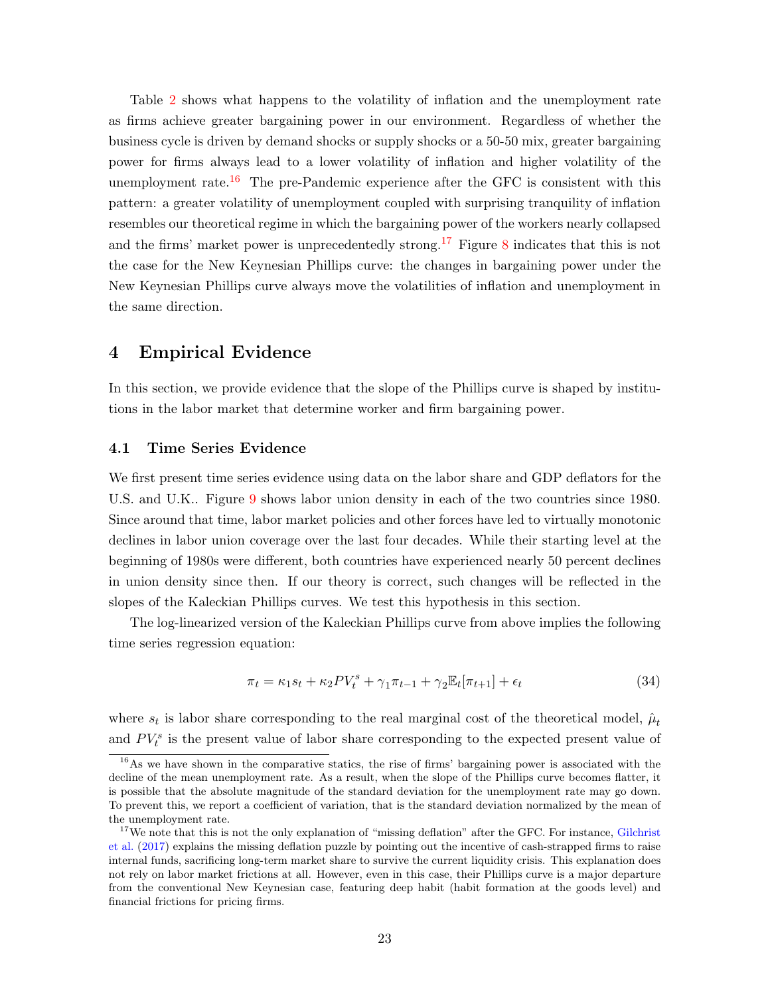Table [2](#page-23-0) shows what happens to the volatility of inflation and the unemployment rate as firms achieve greater bargaining power in our environment. Regardless of whether the business cycle is driven by demand shocks or supply shocks or a 50-50 mix, greater bargaining power for firms always lead to a lower volatility of inflation and higher volatility of the unemployment rate.<sup>[16](#page-1-0)</sup> The pre-Pandemic experience after the GFC is consistent with this pattern: a greater volatility of unemployment coupled with surprising tranquility of inflation resembles our theoretical regime in which the bargaining power of the workers nearly collapsed and the firms' market power is unprecedentedly strong.<sup>[17](#page-1-0)</sup> Figure [8](#page-22-0) indicates that this is not the case for the New Keynesian Phillips curve: the changes in bargaining power under the New Keynesian Phillips curve always move the volatilities of inflation and unemployment in the same direction.

### <span id="page-24-0"></span>4 Empirical Evidence

In this section, we provide evidence that the slope of the Phillips curve is shaped by institutions in the labor market that determine worker and firm bargaining power.

### <span id="page-24-2"></span>4.1 Time Series Evidence

We first present time series evidence using data on the labor share and GDP deflators for the U.S. and U.K.. Figure [9](#page-25-0) shows labor union density in each of the two countries since 1980. Since around that time, labor market policies and other forces have led to virtually monotonic declines in labor union coverage over the last four decades. While their starting level at the beginning of 1980s were different, both countries have experienced nearly 50 percent declines in union density since then. If our theory is correct, such changes will be reflected in the slopes of the Kaleckian Phillips curves. We test this hypothesis in this section.

The log-linearized version of the Kaleckian Phillips curve from above implies the following time series regression equation:

<span id="page-24-1"></span>
$$
\pi_t = \kappa_1 s_t + \kappa_2 PV_t^s + \gamma_1 \pi_{t-1} + \gamma_2 \mathbb{E}_t[\pi_{t+1}] + \epsilon_t
$$
\n(34)

where  $s_t$  is labor share corresponding to the real marginal cost of the theoretical model,  $\hat{\mu}_t$ and  $PV_t^s$  is the present value of labor share corresponding to the expected present value of

<sup>16</sup>As we have shown in the comparative statics, the rise of firms' bargaining power is associated with the decline of the mean unemployment rate. As a result, when the slope of the Phillips curve becomes flatter, it is possible that the absolute magnitude of the standard deviation for the unemployment rate may go down. To prevent this, we report a coefficient of variation, that is the standard deviation normalized by the mean of the unemployment rate.

<sup>&</sup>lt;sup>17</sup>We note that this is not the only explanation of "missing deflation" after the GFC. For instance, [Gilchrist](#page-34-10) [et al.](#page-34-10) [\(2017\)](#page-34-10) explains the missing deflation puzzle by pointing out the incentive of cash-strapped firms to raise internal funds, sacrificing long-term market share to survive the current liquidity crisis. This explanation does not rely on labor market frictions at all. However, even in this case, their Phillips curve is a major departure from the conventional New Keynesian case, featuring deep habit (habit formation at the goods level) and financial frictions for pricing firms.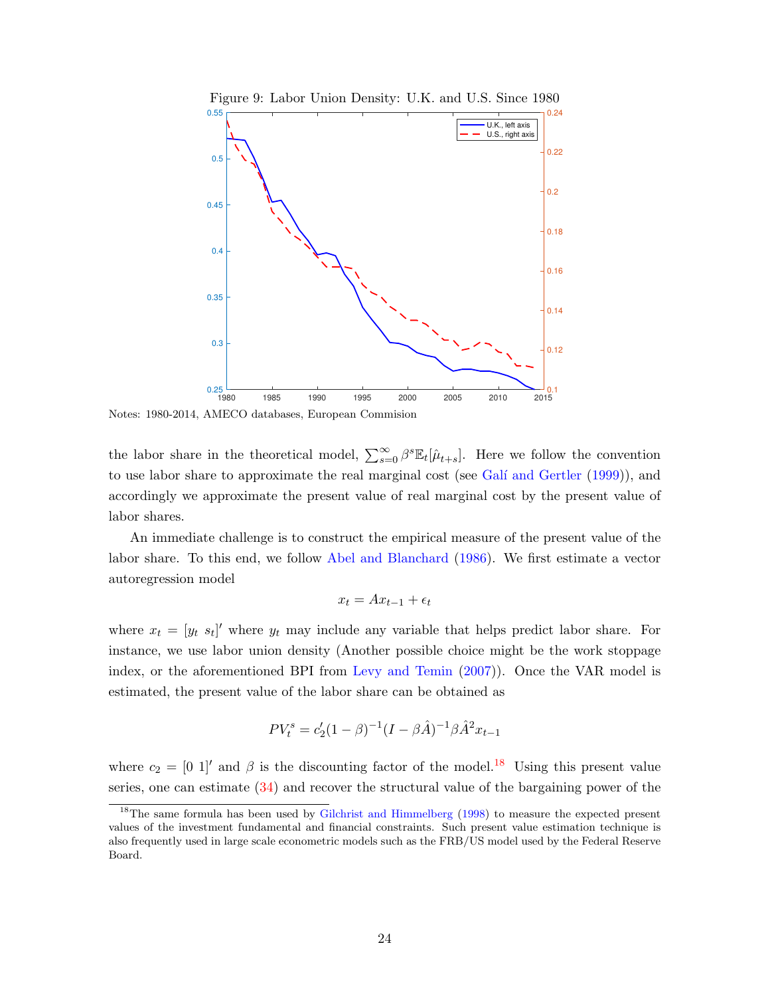<span id="page-25-0"></span>

Figure 9: Labor Union Density: U.K. and U.S. Since 1980

Notes: 1980-2014, AMECO databases, European Commision

the labor share in the theoretical model,  $\sum_{s=0}^{\infty} \beta^s \mathbb{E}_t[\hat{\mu}_{t+s}]$ . Here we follow the convention to use labor share to approximate the real marginal cost (see Galí and Gertler [\(1999\)](#page-34-11)), and accordingly we approximate the present value of real marginal cost by the present value of labor shares.

An immediate challenge is to construct the empirical measure of the present value of the labor share. To this end, we follow [Abel and Blanchard](#page-33-9) [\(1986\)](#page-33-9). We first estimate a vector autoregression model

$$
x_t = Ax_{t-1} + \epsilon_t
$$

where  $x_t = [y_t s_t]'$  where  $y_t$  may include any variable that helps predict labor share. For instance, we use labor union density (Another possible choice might be the work stoppage index, or the aforementioned BPI from [Levy and Temin](#page-34-8) [\(2007\)](#page-34-8)). Once the VAR model is estimated, the present value of the labor share can be obtained as

$$
PV_t^s = c_2'(1-\beta)^{-1}(I - \beta \hat{A})^{-1}\beta \hat{A}^2 x_{t-1}
$$

where  $c_2 = [0 \ 1]$  and  $\beta$  is the discounting factor of the model.<sup>[18](#page-1-0)</sup> Using this present value series, one can estimate [\(34\)](#page-24-1) and recover the structural value of the bargaining power of the

<sup>&</sup>lt;sup>18</sup>The same formula has been used by [Gilchrist and Himmelberg](#page-34-12) [\(1998\)](#page-34-12) to measure the expected present values of the investment fundamental and financial constraints. Such present value estimation technique is also frequently used in large scale econometric models such as the FRB/US model used by the Federal Reserve Board.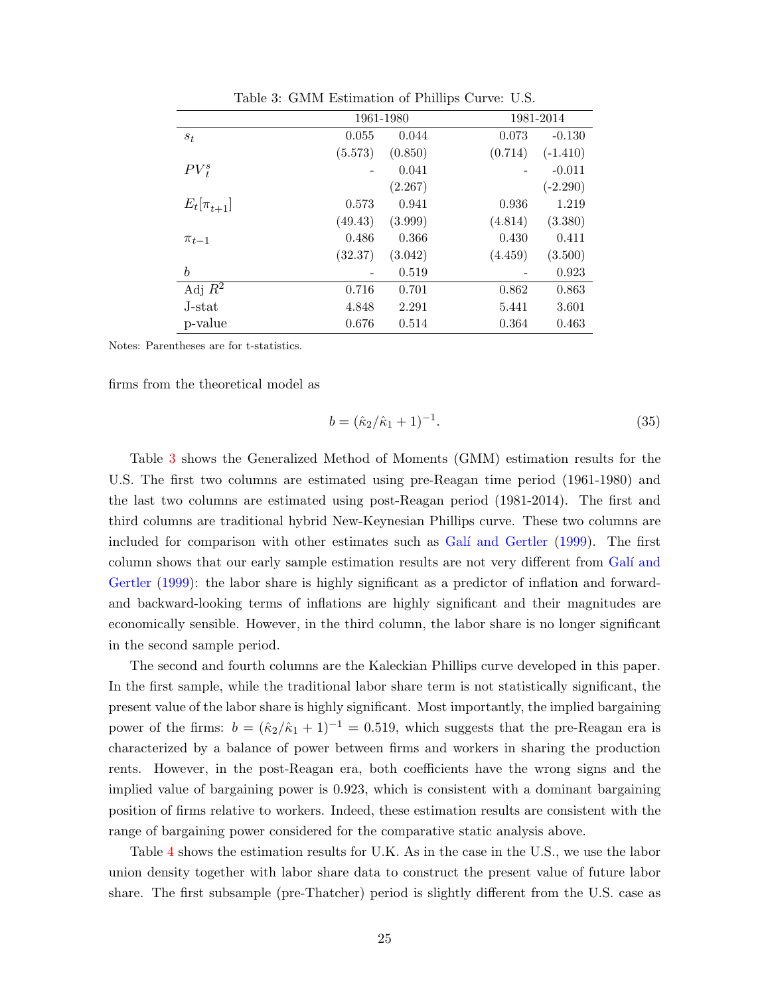<span id="page-26-0"></span>

|                  | 1961-1980 |         |         | 1981-2014  |  |
|------------------|-----------|---------|---------|------------|--|
| $s_t$            | 0.055     | 0.044   | 0.073   | $-0.130$   |  |
|                  | (5.573)   | (0.850) | (0.714) | $(-1.410)$ |  |
| $PV_{t}^{s}$     |           | 0.041   |         | $-0.011$   |  |
|                  |           | (2.267) |         | $(-2.290)$ |  |
| $E_t[\pi_{t+1}]$ | 0.573     | 0.941   | 0.936   | 1.219      |  |
|                  | (49.43)   | (3.999) | (4.814) | (3.380)    |  |
| $\pi_{t-1}$      | 0.486     | 0.366   | 0.430   | 0.411      |  |
|                  | (32.37)   | (3.042) | (4.459) | (3.500)    |  |
| b                |           | 0.519   |         | 0.923      |  |
| Adj $R^2$        | 0.716     | 0.701   | 0.862   | 0.863      |  |
| J-stat           | 4.848     | 2.291   | 5.441   | 3.601      |  |
| p-value          | 0.676     | 0.514   | 0.364   | 0.463      |  |

Table 3: GMM Estimation of Phillips Curve: U.S.

Notes: Parentheses are for t-statistics.

firms from the theoretical model as

$$
b = (\hat{\kappa}_2/\hat{\kappa}_1 + 1)^{-1}.
$$
\n(35)

Table [3](#page-26-0) shows the Generalized Method of Moments (GMM) estimation results for the U.S. The first two columns are estimated using pre-Reagan time period (1961-1980) and the last two columns are estimated using post-Reagan period (1981-2014). The first and third columns are traditional hybrid New-Keynesian Phillips curve. These two columns are included for comparison with other estimates such as Galí and Gertler [\(1999\)](#page-34-11). The first column shows that our early sample estimation results are not very different from Galí and [Gertler](#page-34-11) [\(1999\)](#page-34-11): the labor share is highly significant as a predictor of inflation and forwardand backward-looking terms of inflations are highly significant and their magnitudes are economically sensible. However, in the third column, the labor share is no longer significant in the second sample period.

The second and fourth columns are the Kaleckian Phillips curve developed in this paper. In the first sample, while the traditional labor share term is not statistically significant, the present value of the labor share is highly significant. Most importantly, the implied bargaining power of the firms:  $b = (\hat{\kappa}_2/\hat{\kappa}_1 + 1)^{-1} = 0.519$ , which suggests that the pre-Reagan era is characterized by a balance of power between firms and workers in sharing the production rents. However, in the post-Reagan era, both coefficients have the wrong signs and the implied value of bargaining power is 0.923, which is consistent with a dominant bargaining position of firms relative to workers. Indeed, these estimation results are consistent with the range of bargaining power considered for the comparative static analysis above.

Table [4](#page-27-0) shows the estimation results for U.K. As in the case in the U.S., we use the labor union density together with labor share data to construct the present value of future labor share. The first subsample (pre-Thatcher) period is slightly different from the U.S. case as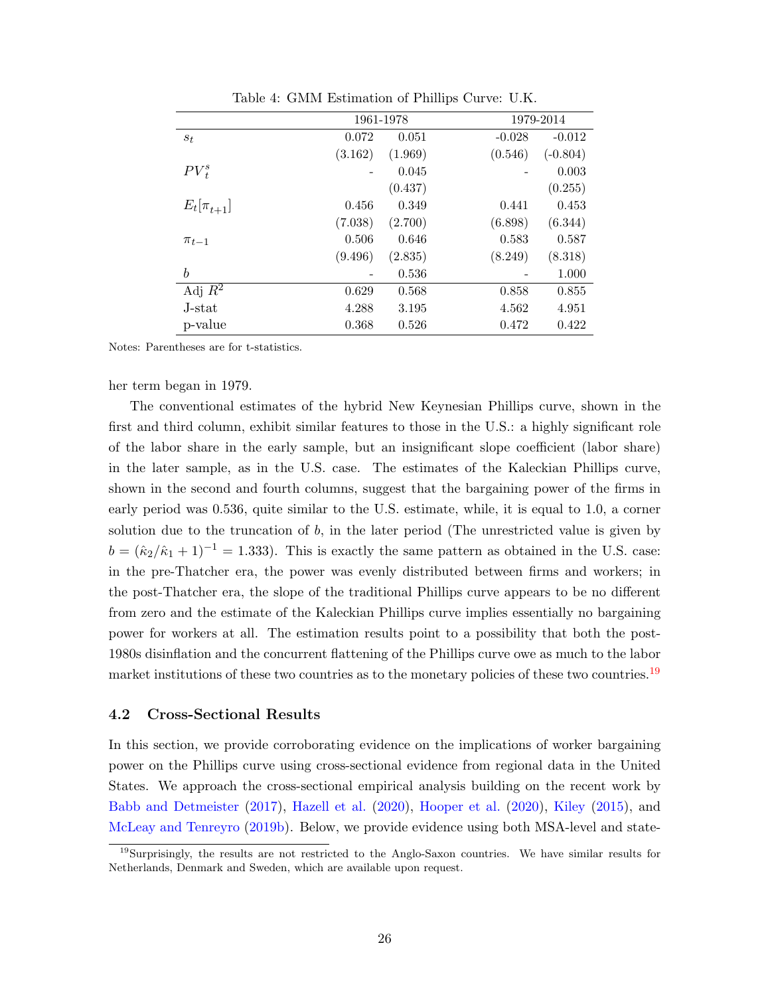<span id="page-27-0"></span>

|                  |         | 1961-1978 |          | 1979-2014  |  |  |
|------------------|---------|-----------|----------|------------|--|--|
| $s_t$            | 0.072   | 0.051     | $-0.028$ | $-0.012$   |  |  |
|                  | (3.162) | (1.969)   | (0.546)  | $(-0.804)$ |  |  |
| $PV_{t}^{s}$     |         | 0.045     |          | 0.003      |  |  |
|                  |         | (0.437)   |          | (0.255)    |  |  |
| $E_t[\pi_{t+1}]$ | 0.456   | 0.349     | 0.441    | 0.453      |  |  |
|                  | (7.038) | (2.700)   | (6.898)  | (6.344)    |  |  |
| $\pi_{t-1}$      | 0.506   | 0.646     | 0.583    | 0.587      |  |  |
|                  | (9.496) | (2.835)   | (8.249)  | (8.318)    |  |  |
| b                |         | 0.536     |          | 1.000      |  |  |
| Adj $R^2$        | 0.629   | 0.568     | 0.858    | 0.855      |  |  |
| J-stat           | 4.288   | 3.195     | 4.562    | 4.951      |  |  |
| p-value          | 0.368   | 0.526     | 0.472    | 0.422      |  |  |

Table 4: GMM Estimation of Phillips Curve: U.K.

Notes: Parentheses are for t-statistics.

her term began in 1979.

The conventional estimates of the hybrid New Keynesian Phillips curve, shown in the first and third column, exhibit similar features to those in the U.S.: a highly significant role of the labor share in the early sample, but an insignificant slope coefficient (labor share) in the later sample, as in the U.S. case. The estimates of the Kaleckian Phillips curve, shown in the second and fourth columns, suggest that the bargaining power of the firms in early period was 0.536, quite similar to the U.S. estimate, while, it is equal to 1.0, a corner solution due to the truncation of  $b$ , in the later period (The unrestricted value is given by  $b = (\hat{\kappa}_2/\hat{\kappa}_1 + 1)^{-1} = 1.333$ . This is exactly the same pattern as obtained in the U.S. case: in the pre-Thatcher era, the power was evenly distributed between firms and workers; in the post-Thatcher era, the slope of the traditional Phillips curve appears to be no different from zero and the estimate of the Kaleckian Phillips curve implies essentially no bargaining power for workers at all. The estimation results point to a possibility that both the post-1980s disinflation and the concurrent flattening of the Phillips curve owe as much to the labor market institutions of these two countries as to the monetary policies of these two countries.<sup>[19](#page-1-0)</sup>

#### 4.2 Cross-Sectional Results

In this section, we provide corroborating evidence on the implications of worker bargaining power on the Phillips curve using cross-sectional evidence from regional data in the United States. We approach the cross-sectional empirical analysis building on the recent work by [Babb and Detmeister](#page-33-10) [\(2017\)](#page-33-10), [Hazell et al.](#page-34-13) [\(2020\)](#page-34-13), [Hooper et al.](#page-34-14) [\(2020\)](#page-34-14), [Kiley](#page-34-15) [\(2015\)](#page-34-15), and [McLeay and Tenreyro](#page-35-11) [\(2019b\)](#page-35-11). Below, we provide evidence using both MSA-level and state-

<sup>19</sup>Surprisingly, the results are not restricted to the Anglo-Saxon countries. We have similar results for Netherlands, Denmark and Sweden, which are available upon request.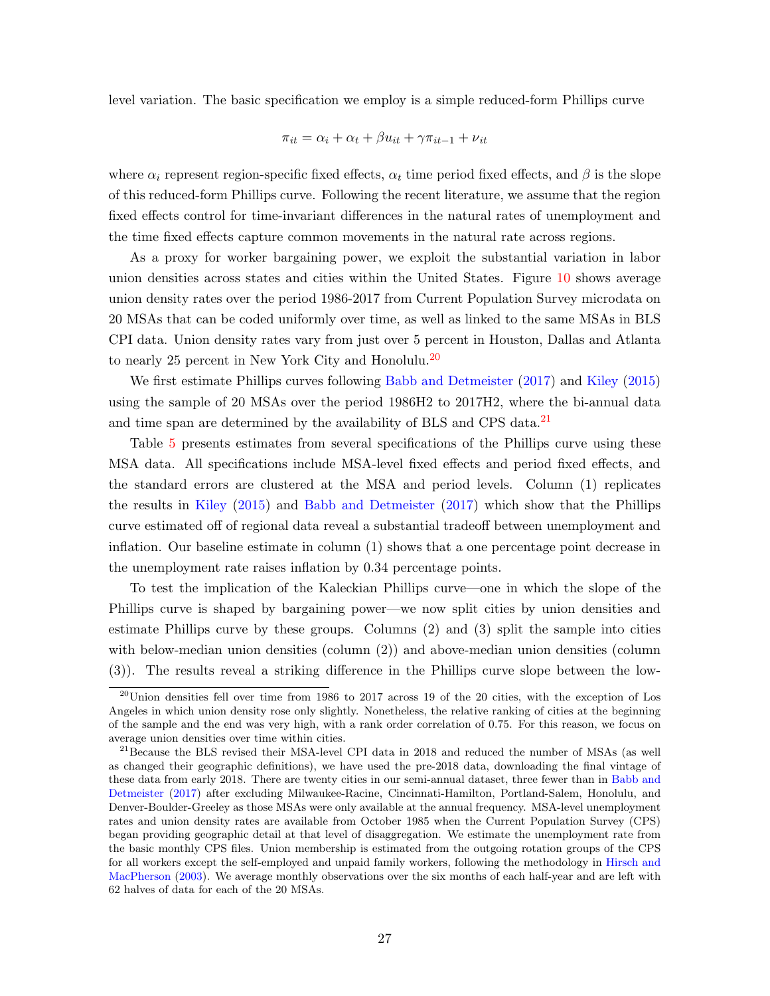level variation. The basic specification we employ is a simple reduced-form Phillips curve

$$
\pi_{it} = \alpha_i + \alpha_t + \beta u_{it} + \gamma \pi_{it-1} + \nu_{it}
$$

where  $\alpha_i$  represent region-specific fixed effects,  $\alpha_t$  time period fixed effects, and  $\beta$  is the slope of this reduced-form Phillips curve. Following the recent literature, we assume that the region fixed effects control for time-invariant differences in the natural rates of unemployment and the time fixed effects capture common movements in the natural rate across regions.

As a proxy for worker bargaining power, we exploit the substantial variation in labor union densities across states and cities within the United States. Figure [10](#page-29-0) shows average union density rates over the period 1986-2017 from Current Population Survey microdata on 20 MSAs that can be coded uniformly over time, as well as linked to the same MSAs in BLS CPI data. Union density rates vary from just over 5 percent in Houston, Dallas and Atlanta to nearly 25 percent in New York City and Honolulu.<sup>[20](#page-1-0)</sup>

We first estimate Phillips curves following [Babb and Detmeister](#page-33-10) [\(2017\)](#page-33-10) and [Kiley](#page-34-15) [\(2015\)](#page-34-15) using the sample of 20 MSAs over the period 1986H2 to 2017H2, where the bi-annual data and time span are determined by the availability of BLS and CPS data.<sup>[21](#page-1-0)</sup>

Table [5](#page-31-0) presents estimates from several specifications of the Phillips curve using these MSA data. All specifications include MSA-level fixed effects and period fixed effects, and the standard errors are clustered at the MSA and period levels. Column (1) replicates the results in [Kiley](#page-34-15) [\(2015\)](#page-34-15) and [Babb and Detmeister](#page-33-10) [\(2017\)](#page-33-10) which show that the Phillips curve estimated off of regional data reveal a substantial tradeoff between unemployment and inflation. Our baseline estimate in column (1) shows that a one percentage point decrease in the unemployment rate raises inflation by 0.34 percentage points.

To test the implication of the Kaleckian Phillips curve—one in which the slope of the Phillips curve is shaped by bargaining power—we now split cities by union densities and estimate Phillips curve by these groups. Columns (2) and (3) split the sample into cities with below-median union densities (column  $(2)$ ) and above-median union densities (column (3)). The results reveal a striking difference in the Phillips curve slope between the low-

 $^{20}$ Union densities fell over time from 1986 to 2017 across 19 of the 20 cities, with the exception of Los Angeles in which union density rose only slightly. Nonetheless, the relative ranking of cities at the beginning of the sample and the end was very high, with a rank order correlation of 0.75. For this reason, we focus on average union densities over time within cities.

<sup>&</sup>lt;sup>21</sup> Because the BLS revised their MSA-level CPI data in 2018 and reduced the number of MSAs (as well as changed their geographic definitions), we have used the pre-2018 data, downloading the final vintage of these data from early 2018. There are twenty cities in our semi-annual dataset, three fewer than in [Babb and](#page-33-10) [Detmeister](#page-33-10) [\(2017\)](#page-33-10) after excluding Milwaukee-Racine, Cincinnati-Hamilton, Portland-Salem, Honolulu, and Denver-Boulder-Greeley as those MSAs were only available at the annual frequency. MSA-level unemployment rates and union density rates are available from October 1985 when the Current Population Survey (CPS) began providing geographic detail at that level of disaggregation. We estimate the unemployment rate from the basic monthly CPS files. Union membership is estimated from the outgoing rotation groups of the CPS for all workers except the self-employed and unpaid family workers, following the methodology in [Hirsch and](#page-34-7) [MacPherson](#page-34-7) [\(2003\)](#page-34-7). We average monthly observations over the six months of each half-year and are left with 62 halves of data for each of the 20 MSAs.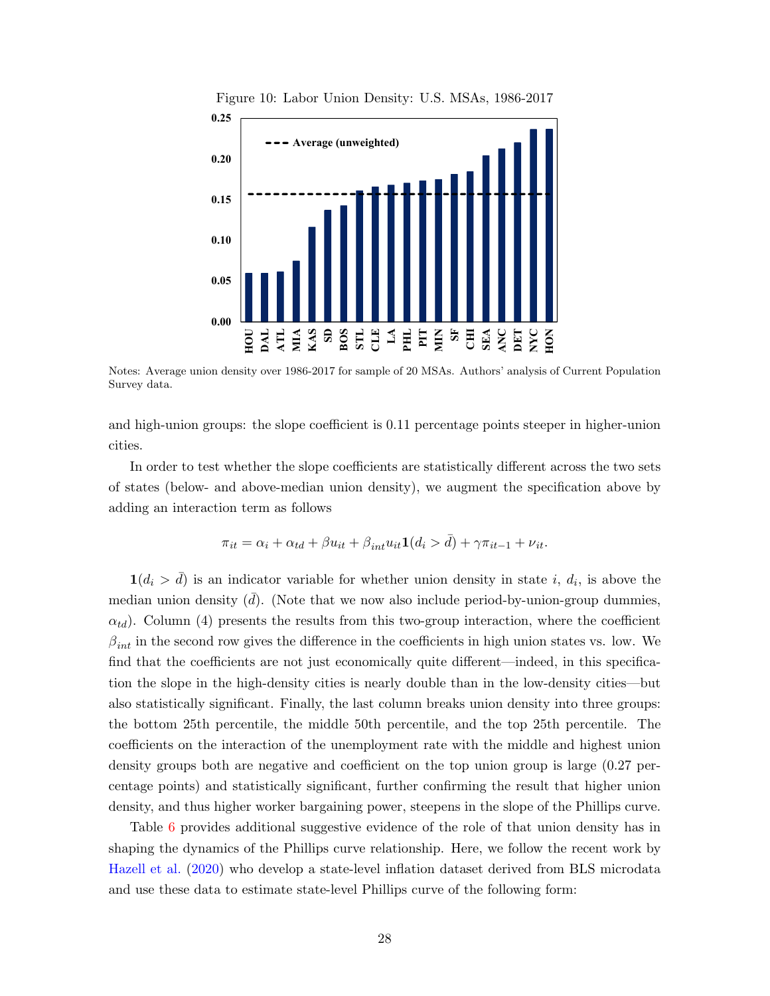<span id="page-29-0"></span>

Figure 10: Labor Union Density: U.S. MSAs, 1986-2017

Notes: Average union density over 1986-2017 for sample of 20 MSAs. Authors' analysis of Current Population Survey data.

and high-union groups: the slope coefficient is 0.11 percentage points steeper in higher-union  $p_{\text{min}}$  $\overline{\text{Critos}}$ cities.

In order to test whether the slope coefficients are statistically different across the two sets  $\epsilon$ <sup>c</sup>  $\epsilon$ <sub>2</sub>4 $\epsilon$  -109576  $\epsilon$ <sup>1</sup> of states (below- and above-median union density), we augment the specification above by adding an interaction term as follows

$$
\pi_{it} = \alpha_i + \alpha_{td} + \beta u_{it} + \beta_{int} u_{it} \mathbf{1}(d_i > \bar{d}) + \gamma \pi_{it-1} + \nu_{it}.
$$

 $\mathbf{1}(d_i > \overline{d})$  is an indicator variable for whether union density in state i,  $d_i$ , is above the  $-\left(\sqrt{25}l\right)$ median union density  $(\bar{d})$ . (Note that we now also include period-by-union-group dummies,  $\delta$  0.160  $\delta$  $\alpha_{td}$ ). Column (4) presents the results from this two-group interaction, where the coefficient  $\beta_{int}$  in the second row gives the difference in the coefficients in high union states vs. low. We  $a_{\text{rad}}$  that the  $\epsilon$ find that the coefficients are not just economically quite different—indeed, in this specification the slope in the high-density cities is nearly double than in the low-density cities—but density, and thus higher worker bargaining power, steepens in the slope of the Phillips curve. also statistically significant. Finally, the last column breaks union density into three groups: the bottom 25th percentile, the middle 50th percentile, and the top 25th percentile. The coefficients on the interaction of the unemployment rate with the middle and highest union density groups both are negative and coefficient on the top union group is large (0.27 percentage points) and statistically significant, further confirming the result that higher union

Table [6](#page-32-0) provides additional suggestive evidence of the role of that union density has in shaping the dynamics of the Phillips curve relationship. Here, we follow the recent work by Alaska 94 18.4 20 1.6 [Hazell et al.](#page-34-13) [\(2020\)](#page-34-13) who develop a state-level inflation dataset derived from BLS microdata and use these data to estimate state-level Phillips curve of the following form: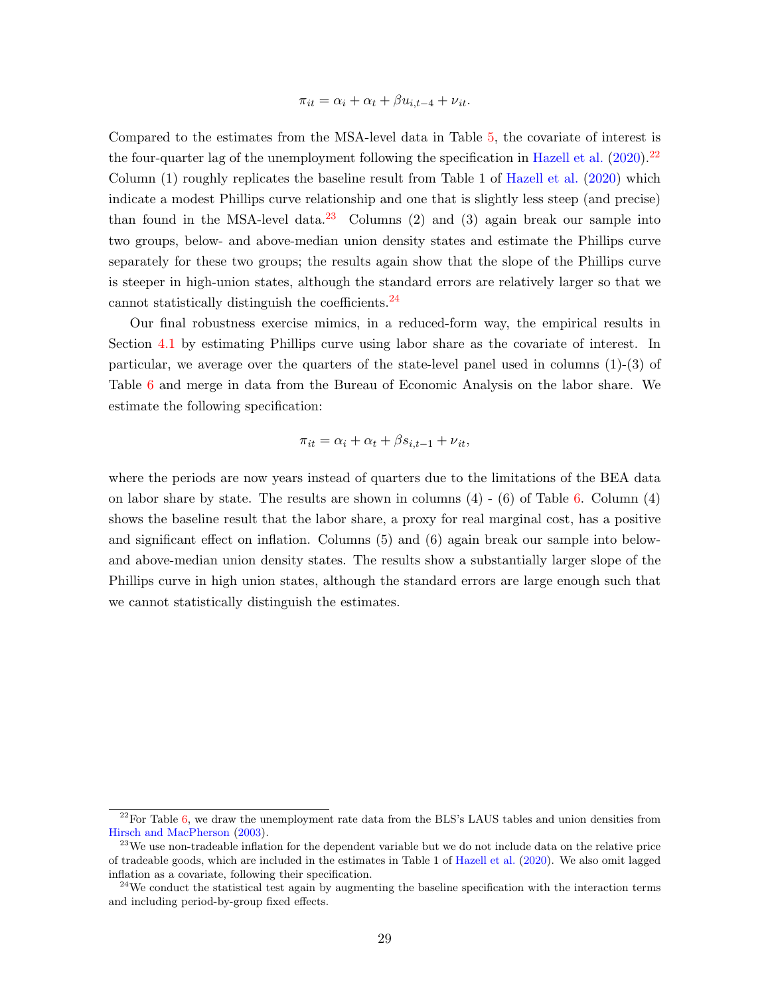$$
\pi_{it} = \alpha_i + \alpha_t + \beta u_{i,t-4} + \nu_{it}.
$$

Compared to the estimates from the MSA-level data in Table [5,](#page-31-0) the covariate of interest is the four-quarter lag of the unemployment following the specification in [Hazell et al.](#page-34-13)  $(2020)^{22}$  $(2020)^{22}$  $(2020)^{22}$  $(2020)^{22}$ Column (1) roughly replicates the baseline result from Table 1 of [Hazell et al.](#page-34-13) [\(2020\)](#page-34-13) which indicate a modest Phillips curve relationship and one that is slightly less steep (and precise) than found in the MSA-level data.<sup>[23](#page-1-0)</sup> Columns (2) and (3) again break our sample into two groups, below- and above-median union density states and estimate the Phillips curve separately for these two groups; the results again show that the slope of the Phillips curve is steeper in high-union states, although the standard errors are relatively larger so that we cannot statistically distinguish the coefficients. $^{24}$  $^{24}$  $^{24}$ 

Our final robustness exercise mimics, in a reduced-form way, the empirical results in Section [4.1](#page-24-2) by estimating Phillips curve using labor share as the covariate of interest. In particular, we average over the quarters of the state-level panel used in columns  $(1)-(3)$  of Table [6](#page-32-0) and merge in data from the Bureau of Economic Analysis on the labor share. We estimate the following specification:

$$
\pi_{it} = \alpha_i + \alpha_t + \beta s_{i,t-1} + \nu_{it},
$$

where the periods are now years instead of quarters due to the limitations of the BEA data on labor share by state. The results are shown in columns  $(4)$  -  $(6)$  of Table [6.](#page-32-0) Column  $(4)$ shows the baseline result that the labor share, a proxy for real marginal cost, has a positive and significant effect on inflation. Columns (5) and (6) again break our sample into belowand above-median union density states. The results show a substantially larger slope of the Phillips curve in high union states, although the standard errors are large enough such that we cannot statistically distinguish the estimates.

 $^{22}$ For Table [6,](#page-32-0) we draw the unemployment rate data from the BLS's LAUS tables and union densities from [Hirsch and MacPherson](#page-34-7) [\(2003\)](#page-34-7).

 $^{23}$ We use non-tradeable inflation for the dependent variable but we do not include data on the relative price of tradeable goods, which are included in the estimates in Table 1 of [Hazell et al.](#page-34-13) [\(2020\)](#page-34-13). We also omit lagged inflation as a covariate, following their specification.

 $^{24}$ We conduct the statistical test again by augmenting the baseline specification with the interaction terms and including period-by-group fixed effects.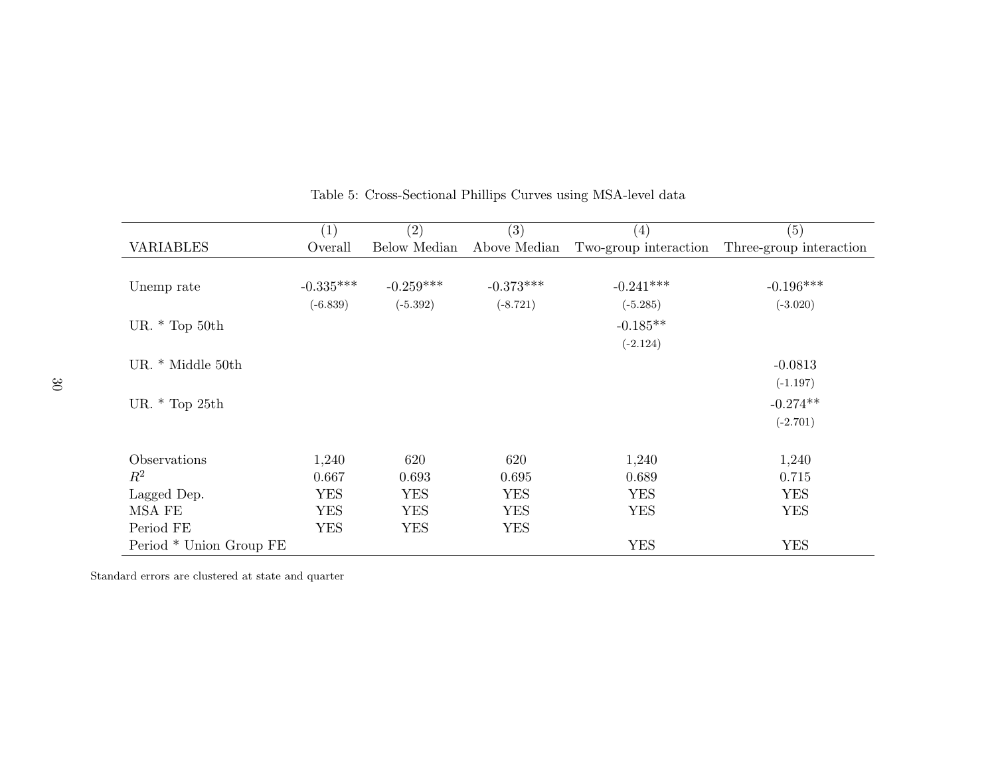|                         | (1)         | $\left( 2\right)$ | $\left( 3\right)$ | $\left( 4\right)$     | (5)                     |
|-------------------------|-------------|-------------------|-------------------|-----------------------|-------------------------|
| <b>VARIABLES</b>        | Overall     | Below Median      | Above Median      | Two-group interaction | Three-group interaction |
|                         |             |                   |                   |                       |                         |
| Unemp rate              | $-0.335***$ | $-0.259***$       | $-0.373***$       | $-0.241***$           | $-0.196***$             |
|                         | $(-6.839)$  | $(-5.392)$        | $(-8.721)$        | $(-5.285)$            | $(-3.020)$              |
| UR. $*$ Top 50th        |             |                   |                   | $-0.185**$            |                         |
|                         |             |                   |                   | $(-2.124)$            |                         |
| UR. * Middle 50th       |             |                   |                   |                       | $-0.0813$               |
|                         |             |                   |                   |                       | $(-1.197)$              |
| UR. $*$ Top 25th        |             |                   |                   |                       | $-0.274**$              |
|                         |             |                   |                   |                       | $(-2.701)$              |
|                         |             |                   |                   |                       |                         |
| Observations            | 1,240       | 620               | 620               | 1,240                 | 1,240                   |
| $R^2$                   | 0.667       | 0.693             | 0.695             | 0.689                 | 0.715                   |
| Lagged Dep.             | <b>YES</b>  | <b>YES</b>        | <b>YES</b>        | <b>YES</b>            | <b>YES</b>              |
| MSA FE                  | <b>YES</b>  | <b>YES</b>        | <b>YES</b>        | <b>YES</b>            | <b>YES</b>              |
| Period FE               | <b>YES</b>  | <b>YES</b>        | <b>YES</b>        |                       |                         |
| Period * Union Group FE |             |                   |                   | <b>YES</b>            | <b>YES</b>              |

# <span id="page-31-0"></span>Table 5: Cross-Sectional Phillips Curves using MSA-level data

Standard errors are clustered at state and quarter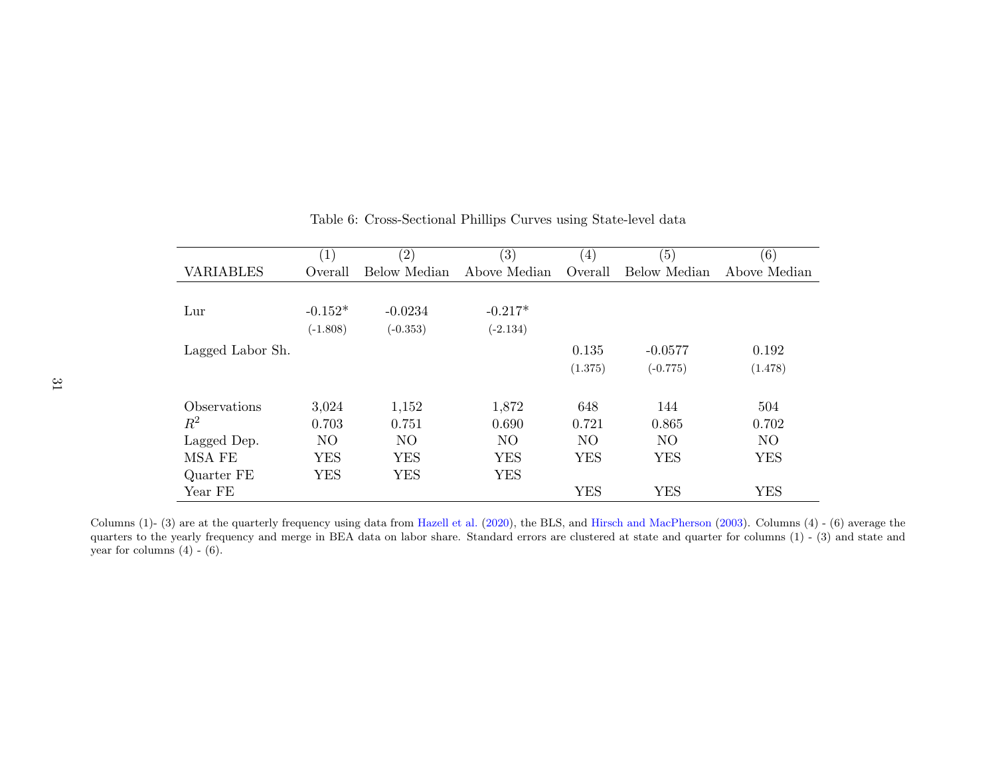|                            | (1)            | (2)            | (3)            | $\left( 4\right)$ | (5)            | (6)            |
|----------------------------|----------------|----------------|----------------|-------------------|----------------|----------------|
| <b>VARIABLES</b>           | Overall        | Below Median   | Above Median   | Overall           | Below Median   | Above Median   |
|                            |                |                |                |                   |                |                |
| Lur                        | $-0.152*$      | $-0.0234$      | $-0.217*$      |                   |                |                |
|                            | $(-1.808)$     | $(-0.353)$     | $(-2.134)$     |                   |                |                |
| Lagged Labor Sh.           |                |                |                | 0.135             | $-0.0577$      | 0.192          |
|                            |                |                |                | (1.375)           | $(-0.775)$     | (1.478)        |
| <i><b>Observations</b></i> | 3,024          | 1,152          | 1,872          | 648               | 144            | 504            |
| $R^2$                      | 0.703          | 0.751          | 0.690          | 0.721             | 0.865          | 0.702          |
| Lagged Dep.                | N <sub>O</sub> | N <sub>O</sub> | N <sub>O</sub> | N <sub>O</sub>    | N <sub>O</sub> | N <sub>O</sub> |
| MSA FE                     | <b>YES</b>     | <b>YES</b>     | <b>YES</b>     | <b>YES</b>        | <b>YES</b>     | <b>YES</b>     |
| Quarter FE                 | <b>YES</b>     | <b>YES</b>     | <b>YES</b>     |                   |                |                |
| Year FE                    |                |                |                | <b>YES</b>        | <b>YES</b>     | <b>YES</b>     |

### Table 6: Cross-Sectional Phillips Curves using State-level data

<span id="page-32-0"></span>Columns (1)- (3) are at the quarterly frequency using data from [Hazell](#page-34-16) et al. [\(2020\)](#page-34-16), the BLS, and Hirsch and [MacPherson](#page-34-17) [\(2003\)](#page-34-17). Columns (4) - (6) average the<br>cuesters to the yearly frequency and manns in REA data on labo quarters to the yearly frequency and merge in BEA data on labor share. Standard errors are clustered at state and quarter for columns (1) - (3) and state andyear for columns  $(4)$  -  $(6)$ .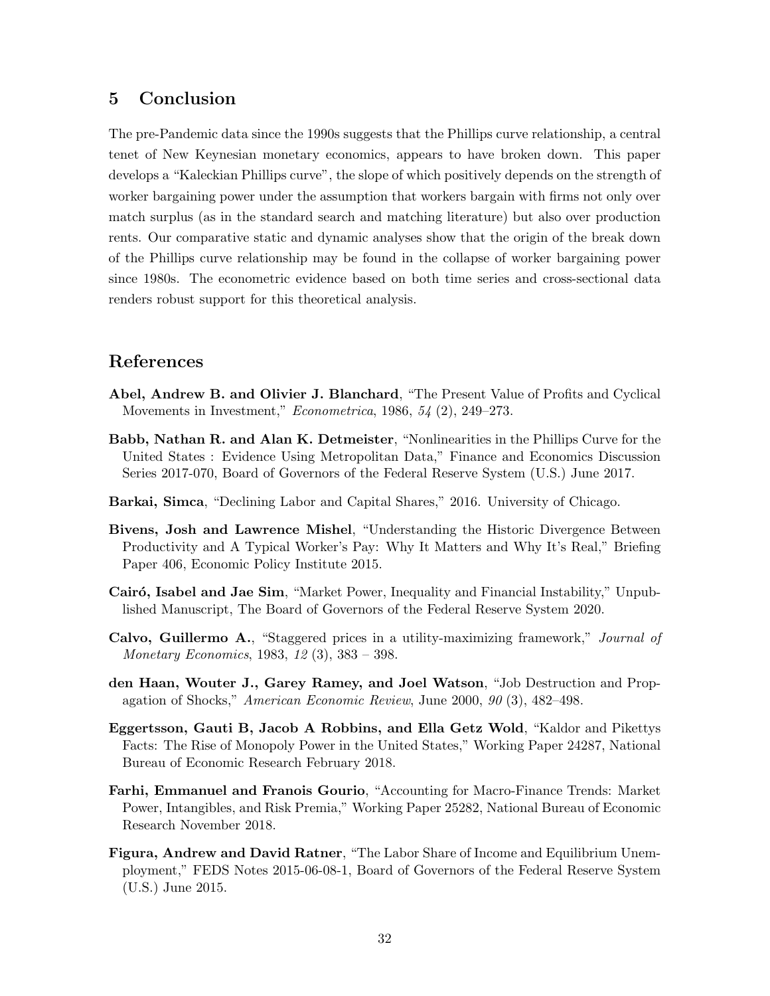## <span id="page-33-2"></span>5 Conclusion

The pre-Pandemic data since the 1990s suggests that the Phillips curve relationship, a central tenet of New Keynesian monetary economics, appears to have broken down. This paper develops a "Kaleckian Phillips curve", the slope of which positively depends on the strength of worker bargaining power under the assumption that workers bargain with firms not only over match surplus (as in the standard search and matching literature) but also over production rents. Our comparative static and dynamic analyses show that the origin of the break down of the Phillips curve relationship may be found in the collapse of worker bargaining power since 1980s. The econometric evidence based on both time series and cross-sectional data renders robust support for this theoretical analysis.

### References

- <span id="page-33-9"></span>Abel, Andrew B. and Olivier J. Blanchard, "The Present Value of Profits and Cyclical Movements in Investment,"  $Econometrica$ , 1986, 54 (2), 249–273.
- <span id="page-33-10"></span>Babb, Nathan R. and Alan K. Detmeister, "Nonlinearities in the Phillips Curve for the United States : Evidence Using Metropolitan Data," Finance and Economics Discussion Series 2017-070, Board of Governors of the Federal Reserve System (U.S.) June 2017.
- <span id="page-33-0"></span>Barkai, Simca, "Declining Labor and Capital Shares," 2016. University of Chicago.
- <span id="page-33-5"></span>Bivens, Josh and Lawrence Mishel, "Understanding the Historic Divergence Between Productivity and A Typical Worker's Pay: Why It Matters and Why It's Real," Briefing Paper 406, Economic Policy Institute 2015.
- <span id="page-33-7"></span>Cairó, Isabel and Jae Sim, "Market Power, Inequality and Financial Instability," Unpublished Manuscript, The Board of Governors of the Federal Reserve System 2020.
- <span id="page-33-4"></span>Calvo, Guillermo A., "Staggered prices in a utility-maximizing framework," Journal of Monetary Economics, 1983, 12 (3), 383 – 398.
- <span id="page-33-3"></span>den Haan, Wouter J., Garey Ramey, and Joel Watson, "Job Destruction and Propagation of Shocks," American Economic Review, June 2000, 90 (3), 482–498.
- <span id="page-33-8"></span>Eggertsson, Gauti B, Jacob A Robbins, and Ella Getz Wold, "Kaldor and Pikettys Facts: The Rise of Monopoly Power in the United States," Working Paper 24287, National Bureau of Economic Research February 2018.
- <span id="page-33-1"></span>Farhi, Emmanuel and Franois Gourio, "Accounting for Macro-Finance Trends: Market Power, Intangibles, and Risk Premia," Working Paper 25282, National Bureau of Economic Research November 2018.
- <span id="page-33-6"></span>Figura, Andrew and David Ratner, "The Labor Share of Income and Equilibrium Unemployment," FEDS Notes 2015-06-08-1, Board of Governors of the Federal Reserve System (U.S.) June 2015.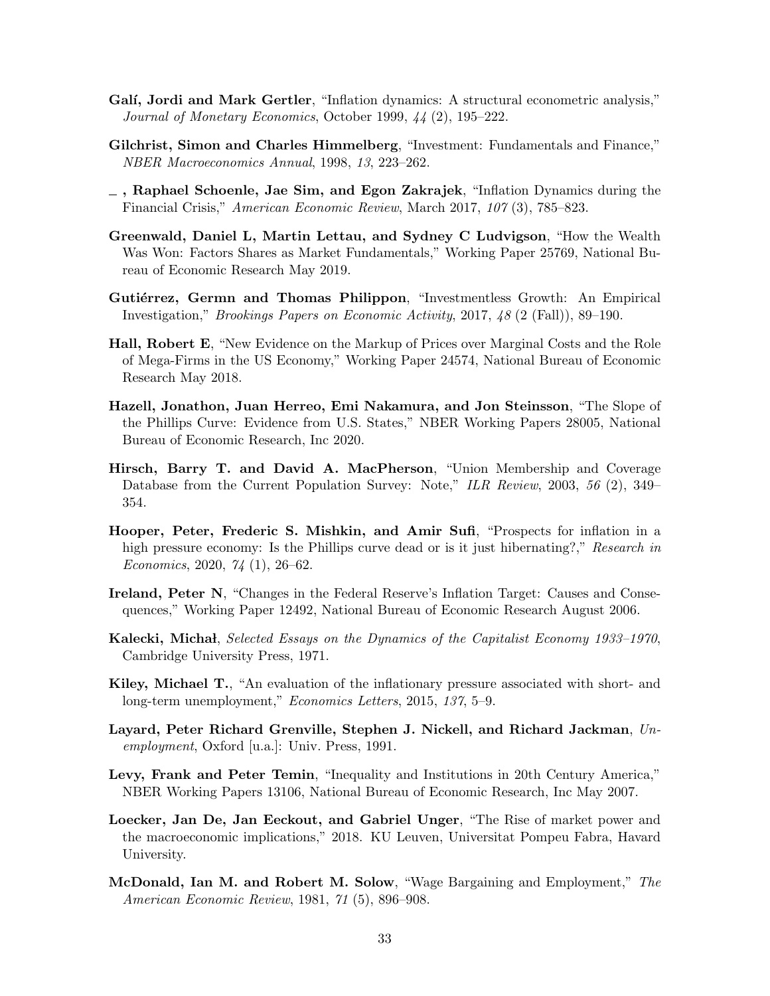- <span id="page-34-17"></span><span id="page-34-16"></span><span id="page-34-11"></span>Galí, Jordi and Mark Gertler, "Inflation dynamics: A structural econometric analysis," Journal of Monetary Economics, October 1999, 44 (2), 195–222.
- <span id="page-34-12"></span>Gilchrist, Simon and Charles Himmelberg, "Investment: Fundamentals and Finance," NBER Macroeconomics Annual, 1998, 13, 223–262.
- <span id="page-34-10"></span>, Raphael Schoenle, Jae Sim, and Egon Zakrajek, "Inflation Dynamics during the Financial Crisis," American Economic Review, March 2017, 107 (3), 785–823.
- <span id="page-34-6"></span>Greenwald, Daniel L, Martin Lettau, and Sydney C Ludvigson, "How the Wealth Was Won: Factors Shares as Market Fundamentals," Working Paper 25769, National Bureau of Economic Research May 2019.
- <span id="page-34-3"></span>Gutiérrez, Germn and Thomas Philippon, "Investmentless Growth: An Empirical Investigation," Brookings Papers on Economic Activity, 2017, 48 (2 (Fall)), 89–190.
- <span id="page-34-9"></span>Hall, Robert E, "New Evidence on the Markup of Prices over Marginal Costs and the Role of Mega-Firms in the US Economy," Working Paper 24574, National Bureau of Economic Research May 2018.
- <span id="page-34-13"></span>Hazell, Jonathon, Juan Herreo, Emi Nakamura, and Jon Steinsson, "The Slope of the Phillips Curve: Evidence from U.S. States," NBER Working Papers 28005, National Bureau of Economic Research, Inc 2020.
- <span id="page-34-7"></span>Hirsch, Barry T. and David A. MacPherson, "Union Membership and Coverage Database from the Current Population Survey: Note," ILR Review, 2003, 56 (2), 349– 354.
- <span id="page-34-14"></span>Hooper, Peter, Frederic S. Mishkin, and Amir Sufi, "Prospects for inflation in a high pressure economy: Is the Phillips curve dead or is it just hibernating?," Research in Economics, 2020, 74 (1), 26–62.
- <span id="page-34-5"></span>Ireland, Peter N, "Changes in the Federal Reserve's Inflation Target: Causes and Consequences," Working Paper 12492, National Bureau of Economic Research August 2006.
- <span id="page-34-0"></span>Kalecki, Michał, Selected Essays on the Dynamics of the Capitalist Economy 1933–1970, Cambridge University Press, 1971.
- <span id="page-34-15"></span>Kiley, Michael T., "An evaluation of the inflationary pressure associated with short- and long-term unemployment," Economics Letters, 2015, 137, 5–9.
- <span id="page-34-4"></span>Layard, Peter Richard Grenville, Stephen J. Nickell, and Richard Jackman, Unemployment, Oxford [u.a.]: Univ. Press, 1991.
- <span id="page-34-8"></span>Levy, Frank and Peter Temin, "Inequality and Institutions in 20th Century America," NBER Working Papers 13106, National Bureau of Economic Research, Inc May 2007.
- <span id="page-34-2"></span>Loecker, Jan De, Jan Eeckout, and Gabriel Unger, "The Rise of market power and the macroeconomic implications," 2018. KU Leuven, Universitat Pompeu Fabra, Havard University.
- <span id="page-34-1"></span>McDonald, Ian M. and Robert M. Solow, "Wage Bargaining and Employment," The American Economic Review, 1981, 71 (5), 896–908.